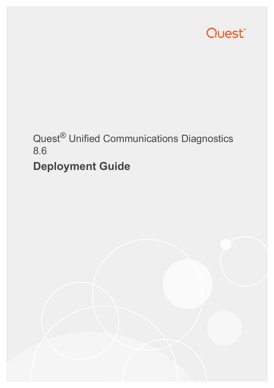

# Quest® Unified Communications Diagnostics 8.6

# **Deployment Guide**

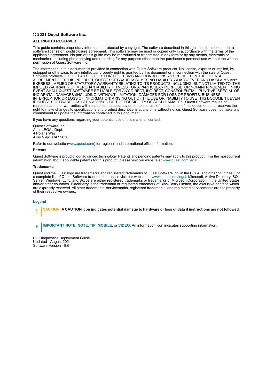#### **© 2021 Quest Software Inc.**

#### **ALL RIGHTS RESERVED.**

This guide contains proprietary information protected by copyright. The software described in this guide is furnished under a software license or nondisclosure agreement. This software may be used or copied only in accordance with the terms of the applicable agreement. No part of this guide may be reproduced or transmitted in any form or by any means, electronic or mechanical, including photocopying and recording for any purpose other than the purchaser's personal use without the written permission of Quest Software Inc.

The information in this document is provided in connection with Quest Software products. No license, express or implied, by estoppel or otherwise, to any intellectual property right is granted by this document or in connection with the sale of Quest<br>Software products. EXCEPT AS SET FORTH IN THE TERMS AND CONDITIONS AS SPECIFIED IN THE LICENSE<br>A EXPRESS, IMPLIED OR STATUTORY WARRANTY RELATING TO ITS PRODUCTS INCLUDING, BUT NOT LIMITED TO, THE IMPLIED WARRANTY OF MERCHANTABILITY, FITNESS FOR A PARTICULAR PURPOSE, OR NON-INFRINGEMENT. IN NO EVENT SHALL QUEST SOFTWARE BE LIABLE FOR ANY DIRECT, INDIRECT, CONSEQUENTIAL, PUNITIVE, SPECIAL OR INCIDENTAL DAMAGES (INCLUDING, WITHOUT LIMITATION, DAMAGES FOR LOSS OF PROFITS, BUSINESS<br>INTERRUPTION OR LOSS OF INFORMATION) ARISING OUT OF THE USE OR INABILITY TO USE THIS DOCUMENT, EVEN IF QUEST SOFTWARE HAS BEEN ADVISED OF THE POSSIBILITY OF SUCH DAMAGES. Quest Software makes no representations or warranties with respect to the accuracy or completeness of the contents of this document and reserves the right to make changes to specifications and product descriptions at any time without notice. Quest Software does not make any commitment to update the information contained in this document.

If you have any questions regarding your potential use of this material, contact:

Quest Software Inc. Attn: LEGAL Dept. 4 Polaris Way Aliso Viejo, CA 92656

Refer to our website [\(www.quest.com](http://www.quest.com)) for regional and international office information.

#### **Patents**

Quest Software is proud of our advanced technology. Patents and pending patents may apply to this product. For the most current information about applicable patents for this product, please visit our website at www.quest.com/legal.

#### **Trademarks**

Quest and the Quest logo are trademarks and registered trademarks of Quest Software Inc. in the U.S.A. and other countries. For a complete list of Quest Software trademarks, please visit our website at [www.quest.com/legal.](http://www.quest.com/legal) Microsoft, Active Directory, SQL<br>Server, Windows, Lync, and Skype are either registered trademarks or trademarks of Microsoft and/or other countries. BlackBerry is the trademark or registered trademark of BlackBerry Limited, the exclusive rights to which are expressly reserved. All other trademarks, servicemarks, registered trademarks, and registered servicemarks are the property of their respective owners.

#### **Legend**

**CAUTION: A CAUTION icon indicates potential damage to hardware or loss of data if instructions are not followed.**

**IMPORTANT NOTE**, **NOTE**, **TIP**, **MOBILE**, or **VIDEO:** An information icon indicates supporting information.f.

UC Diagnostics Deployment Guide Updated - August 2021 Software Version - 8.6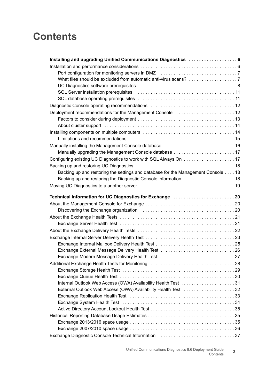## **Contents**

| Deployment recommendations for the Management Console [1, 1, 1, 1, 1, 1, 1, 1, 1, 1, 12] |
|------------------------------------------------------------------------------------------|
|                                                                                          |
|                                                                                          |
|                                                                                          |
|                                                                                          |
|                                                                                          |
| Manually upgrading the Management Console database  17                                   |
|                                                                                          |
|                                                                                          |
| Backing up and restoring the settings and database for the Management Console 18         |
|                                                                                          |
|                                                                                          |
|                                                                                          |
|                                                                                          |
| Technical Information for UC Diagnostics for Exchange  20                                |
|                                                                                          |
|                                                                                          |
|                                                                                          |
|                                                                                          |
|                                                                                          |
|                                                                                          |
|                                                                                          |
| Exchange External Message Delivery Health Test 26                                        |
| Exchange Modern Message Delivery Health Test 27                                          |
| Additional Exchange Health Tests for Monitoring (and accommodational metallicity 28)     |
|                                                                                          |
|                                                                                          |
|                                                                                          |
|                                                                                          |
|                                                                                          |
|                                                                                          |
|                                                                                          |
|                                                                                          |
|                                                                                          |
| Exchange Diagnostic Console Technical Information 37                                     |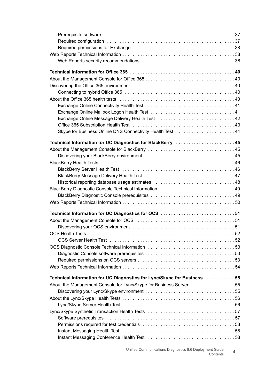Unified Communications Diagnostics 8.6 Deployment Guide ent Guide **4**<br>Contents **4**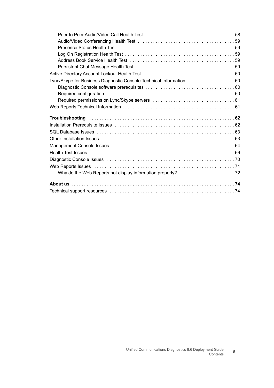| Lync/Skype for Business Diagnostic Console Technical Information  60                                             |  |
|------------------------------------------------------------------------------------------------------------------|--|
|                                                                                                                  |  |
|                                                                                                                  |  |
|                                                                                                                  |  |
|                                                                                                                  |  |
|                                                                                                                  |  |
|                                                                                                                  |  |
|                                                                                                                  |  |
|                                                                                                                  |  |
|                                                                                                                  |  |
|                                                                                                                  |  |
|                                                                                                                  |  |
|                                                                                                                  |  |
|                                                                                                                  |  |
| Web Reports Issues (and according to the Allen Contract of Allen Contract and Allen Contract of Allen Contract T |  |
|                                                                                                                  |  |
|                                                                                                                  |  |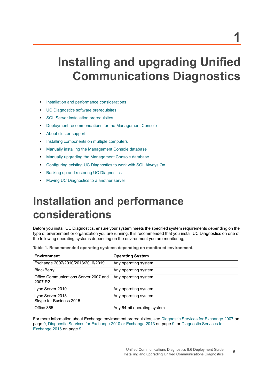# <span id="page-5-0"></span>**Installing and upgrading Unified Communications Diagnostics**

- **•** [Installation and performance considerations](#page-5-1)
- **•** [UC Diagnostics software prerequisites](#page-7-0)
- **•** [SQL Server installation prerequisites](#page-10-0)
- **•** [Deployment recommendations for the Management Console](#page-11-1)
- **•** [About cluster support](#page-13-0)
- **•** [Installing components on multiple computers](#page-13-1)
- **•** [Manually installing the Management Console database](#page-15-0)
- **•** [Manually upgrading the Management Console database](#page-16-0)
- **•** [Configuring existing UC Diagnostics to work with SQL Always On](#page-16-1)
- **•** [Backing up and restoring UC Diagnostics](#page-17-0)
- **•** [Moving UC Diagnostics to a another server](#page-18-0)

# <span id="page-5-1"></span>**Installation and performance considerations**

Before you install UC Diagnostics, ensure your system meets the specified system requirements depending on the type of environment or organization you are running. It is recommended that you install UC Diagnostics on one of the following operating systems depending on the environment you are monitoring,

**Table 1. Recommended operating systems depending on monitored environment.**

| <b>Environment</b>                                           | <b>Operating System</b>     |
|--------------------------------------------------------------|-----------------------------|
| Exchange 2007/2010/2013/2016/2019                            | Any operating system        |
| <b>BlackBerry</b>                                            | Any operating system        |
| Office Communications Server 2007 and<br>2007 R <sub>2</sub> | Any operating system        |
| Lync Server 2010                                             | Any operating system        |
| Lync Server 2013<br>Skype for Business 2015                  | Any operating system        |
| Office 365                                                   | Any 64-bit operating system |

For more information about Exchange environment prerequisites, see [Diagnostic Services for Exchange 2007 on](#page-8-0)  [page 9](#page-8-0), [Diagnostic Services for Exchange 2010 or Exchange 2013 on page 9](#page-8-1), or [Diagnostic Services for](#page-8-2)  [Exchange 2016 on page 9.](#page-8-2)

**6**

**1**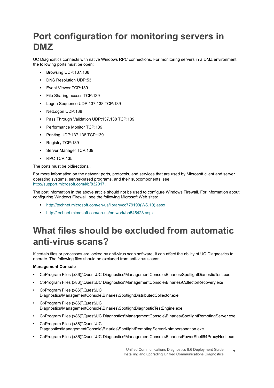## <span id="page-6-0"></span>**Port configuration for monitoring servers in DMZ**

UC Diagnostics connects with native Windows RPC connections. For monitoring servers in a DMZ environment, the following ports must be open:

- **•** Browsing UDP:137,138
- **•** DNS Resolution UDP:53
- **•** Event Viewer TCP:139
- **•** File Sharing access TCP:139
- **•** Logon Sequence UDP:137,138 TCP:139
- **•** NetLogon UDP:138
- **•** Pass Through Validation UDP:137,138 TCP:139
- **•** Performance Monitor TCP:139
- **•** Printing UDP:137,138 TCP:139
- **•** Registry TCP:139
- **•** Server Manager TCP:139
- **•** RPC TCP:135

The ports must be bidirectional.

For more information on the network ports, protocols, and services that are used by Microsoft client and server operating systems, server-based programs, and their subcomponents, see <http://support.microsoft.com/kb/832017>.

The port information in the above article should not be used to configure Windows Firewall. For information about configuring Windows Firewall, see the following Microsoft Web sites:

- **•** [http://technet.microsoft.com/en-us/library/cc779199\(WS.10\).aspx](http://technet.microsoft.com/en-us/library/cc779199(WS.10).aspx)
- **•** <http://technet.microsoft.com/en-us/network/bb545423.aspx>

## <span id="page-6-1"></span>**What files should be excluded from automatic anti-virus scans?**

If certain files or processes are locked by anti-virus scan software, it can affect the ability of UC Diagnostics to operate. The following files should be excluded from anti-virus scans:

### **Management Console**

- **•** C:\Program Files (x86)]\Quest\UC Diagnostics\ManagementConsole\Binaries\SpotlightDianosticTest.exe
- **•** C:\Program Files (x86)]\Quest\UC Diagnostics\ManagementConsole\Binaries\CollectorRecovery.exe
- **•** C:\Program Files (x86)]\Quest\UC Diagnostics\ManagementConsole\Binaries\SpotlightDistributedCollector.exe
- **•** C:\Program Files (x86)]\Quest\UC Diagnostics\ManagementConsole\Binaries\SpotlightDiagnosticTestEngine.exe
- **•** C:\Program Files (x86)]\Quest\UC Diagnostics\ManagementConsole\Binaries\SpotlightRemotingServer.exe
- **•** C:\Program Files (x86)]\Quest\UC Diagnostics\ManagementConsole\Binaries\SpotlightRemotingServerNoImpersonation.exe
- **•** C:\Program Files (x86)]\Quest\UC Diagnostics\ManagementConsole\Binaries\PowerShell64ProxyHost.exe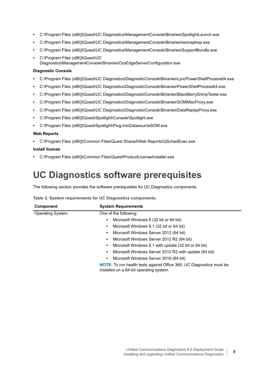- **•** C:\Program Files (x86)]\Quest\UC Diagnostics\ManagementConsole\Binaries\SpotlightLaunch.exe
- **•** C:\Program Files (x86)]\Quest\UC Diagnostics\ManagementConsole\Binaries\iwsnaptrap.exe
- **•** C:\Program Files (x86)]\Quest\UC Diagnostics\ManagementConsole\Binaries\SupportBundle.exe
- **•** C:\Program Files (x86)]\Quest\UC Diagnostics\ManagementConsole\Binaries\OcsEdgeServerConfiguration.exe

#### **Diagnostic Console**

- **•** C:\Program Files (x86)]\Quest\UC Diagnostics\DiagnosticConsole\Binaries\LyncPowerShellProcess64.exe
- **•** C:\Program Files (x86)]\Quest\UC Diagnostics\DiagnosticConsole\Binaries\PowerShellProcess64.exe
- **•** C:\Program Files (x86)]\Quest\UC Diagnostics\DiagnosticConsole\Binaries\BlackBerrySnmpTester.exe
- **•** C:\Program Files (x86)]\Quest\UC Diagnostics\DiagnosticConsole\Binaries\SOMMiscProxy.exe
- **•** C:\Program Files (x86)]\Quest\UC Diagnostics\DiagnosticConsole\Binaries\DataReplayProxy.exe
- **•** C:\Program Files (x86)]\Quest\Spotlight\Console\Spotlight.exe
- **•** C:\Program Files (x86)]\Quest\Spotlight\Plug-ins\DatasourceSOM.exe

#### **Web Reports**

**•** C:\Program Files (x86)]\Common Files\Quest Shared\Web Reports\QSchedExec.exe

#### **Install license**

**•** C:\Program Files (x86)]\Common Files\Quest\ProductLicenseInstaller.exe

## <span id="page-7-0"></span>**UC Diagnostics software prerequisites**

The following section provides the software prerequisites for UC Diagnostics components.

| <b>Component</b>        | <b>System Requirements</b>                                                                                             |  |  |  |
|-------------------------|------------------------------------------------------------------------------------------------------------------------|--|--|--|
| <b>Operating System</b> | One of the following:                                                                                                  |  |  |  |
|                         | Microsoft Windows 8 (32 bit or 64 bit)<br>$\bullet$                                                                    |  |  |  |
|                         | Microsoft Windows 8.1 (32 bit or 64 bit)<br>$\bullet$                                                                  |  |  |  |
|                         | Microsoft Windows Server 2012 (64 bit)<br>٠                                                                            |  |  |  |
|                         | Microsoft Windows Server 2012 R2 (64 bit)<br>$\bullet$                                                                 |  |  |  |
|                         | Microsoft Windows 8.1 with update (32 bit or 64 bit)<br>$\bullet$                                                      |  |  |  |
|                         | Microsoft Windows Server 2012 R2 with update (64 bit)<br>$\bullet$                                                     |  |  |  |
|                         | Microsoft Windows Server 2016 (64 bit)<br>$\bullet$                                                                    |  |  |  |
|                         | <b>NOTE:</b> To run health tests against Office 365, UC Diagnostics must be<br>installed on a 64-bit operating system. |  |  |  |

**Table 2. System requirements for UC Diagnostics components.**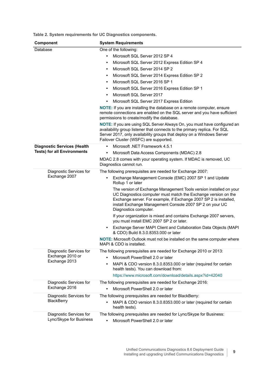**Table 2. System requirements for UC Diagnostics components.**

<span id="page-8-3"></span><span id="page-8-2"></span><span id="page-8-1"></span><span id="page-8-0"></span>

| Component                          | <b>System Requirements</b>                                                                                                                                                                                                                                                                     |
|------------------------------------|------------------------------------------------------------------------------------------------------------------------------------------------------------------------------------------------------------------------------------------------------------------------------------------------|
| Database                           | One of the following:                                                                                                                                                                                                                                                                          |
|                                    | Microsoft SQL Server 2012 SP 4<br>$\bullet$                                                                                                                                                                                                                                                    |
|                                    | Microsoft SQL Server 2012 Express Edition SP 4<br>٠                                                                                                                                                                                                                                            |
|                                    | Microsoft SQL Server 2014 SP 2<br>$\bullet$                                                                                                                                                                                                                                                    |
|                                    | Microsoft SQL Server 2014 Express Edition SP 2<br>٠                                                                                                                                                                                                                                            |
|                                    | Microsoft SQL Server 2016 SP 1<br>$\bullet$                                                                                                                                                                                                                                                    |
|                                    | Microsoft SQL Server 2016 Express Edition SP 1<br>$\bullet$                                                                                                                                                                                                                                    |
|                                    | Microsoft SQL Server 2017<br>$\bullet$                                                                                                                                                                                                                                                         |
|                                    | Microsoft SQL Server 2017 Express Edition<br>$\bullet$                                                                                                                                                                                                                                         |
|                                    | <b>NOTE:</b> If you are installing the database on a remote computer, ensure<br>remote connections are enabled on the SQL server and you have sufficient<br>permissions to create/modify the database.                                                                                         |
|                                    | <b>NOTE:</b> If you are using SQL Server Always On, you must have configured an<br>availability group listener that connects to the primary replica. For SQL<br>Server 2017, only availability groups that deploy on a Windows Server<br>Failover Cluster (WSFC) are supported.                |
| <b>Diagnostic Services (Health</b> | Microsoft .NET Framework 4.5.1<br>$\bullet$                                                                                                                                                                                                                                                    |
| <b>Tests) for all Environments</b> | Microsoft Data Access Components (MDAC) 2.8<br>٠                                                                                                                                                                                                                                               |
|                                    | MDAC 2.8 comes with your operating system. If MDAC is removed, UC<br>Diagnostics cannot run.                                                                                                                                                                                                   |
| Diagnostic Services for            | The following prerequisites are needed for Exchange 2007:                                                                                                                                                                                                                                      |
| Exchange 2007                      | Exchange Management Console (EMC) 2007 SP 1 and Update<br>٠<br>Rollup 1 or later                                                                                                                                                                                                               |
|                                    | The version of Exchange Management Tools version installed on your<br>UC Diagnostics computer must match the Exchange version on the<br>Exchange server. For example, if Exchange 2007 SP 2 is installed,<br>install Exchange Management Console 2007 SP 2 on your UC<br>Diagnostics computer. |
|                                    | If your organization is mixed and contains Exchange 2007 servers,<br>you must install EMC 2007 SP 2 or later.                                                                                                                                                                                  |
|                                    | Exchange Server MAPI Client and Collaboration Data Objects (MAPI<br>٠<br>& CDO) Build 8.3.0.8353.000 or later                                                                                                                                                                                  |
|                                    | NOTE: Microsoft Outlook must not be installed on the same computer where<br>MAPI & CDO is installed.                                                                                                                                                                                           |
| Diagnostic Services for            | The following prerequisites are needed for Exchange 2010 or 2013:                                                                                                                                                                                                                              |
| Exchange 2010 or                   | Microsoft PowerShell 2.0 or later<br>$\bullet$                                                                                                                                                                                                                                                 |
| Exchange 2013                      | MAPI & CDO version 8.3.0.8353.000 or later (required for certain<br>٠<br>health tests). You can download from:                                                                                                                                                                                 |
|                                    | https://www.microsoft.com/download/details.aspx?id=42040                                                                                                                                                                                                                                       |
| Diagnostic Services for            | The following prerequisites are needed for Exchange 2016:                                                                                                                                                                                                                                      |
| Exchange 2016                      | Microsoft PowerShell 2.0 or later                                                                                                                                                                                                                                                              |
| Diagnostic Services for            | The following prerequisites are needed for BlackBerry:                                                                                                                                                                                                                                         |
| <b>BlackBerry</b>                  | MAPI & CDO version 8.3.0.8353.000 or later (required for certain<br>$\bullet$<br>health tests).                                                                                                                                                                                                |
| Diagnostic Services for            | The following prerequisites are needed for Lync/Skype for Business:                                                                                                                                                                                                                            |
| Lync/Skype for Business            | Microsoft PowerShell 2.0 or later<br>$\bullet$                                                                                                                                                                                                                                                 |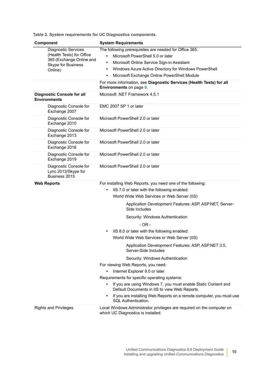| Component                                                                                                            | <b>System Requirements</b>                                                                                                                                                                                                                                                                                                                                                                                                                                                                                                                                                                                                                                                                                                                                                                                                                                                                          |  |  |  |  |  |
|----------------------------------------------------------------------------------------------------------------------|-----------------------------------------------------------------------------------------------------------------------------------------------------------------------------------------------------------------------------------------------------------------------------------------------------------------------------------------------------------------------------------------------------------------------------------------------------------------------------------------------------------------------------------------------------------------------------------------------------------------------------------------------------------------------------------------------------------------------------------------------------------------------------------------------------------------------------------------------------------------------------------------------------|--|--|--|--|--|
| <b>Diagnostic Services</b><br>(Health Tests) for Office<br>365 (Exchange Online and<br>Skype for Business<br>Online) | The following prerequisites are needed for Office 365:<br>Microsoft PowerShell 5.0 or later<br>$\bullet$<br>Microsoft Online Service Sign-in Assistant<br>$\bullet$<br>Windows Azure Active Directory for Windows PowerShell<br>$\bullet$<br>Microsoft Exchange Online PowerShell Module<br>$\bullet$                                                                                                                                                                                                                                                                                                                                                                                                                                                                                                                                                                                               |  |  |  |  |  |
|                                                                                                                      | For more information, see Diagnostic Services (Health Tests) for all<br><b>Environments</b> on page 9.                                                                                                                                                                                                                                                                                                                                                                                                                                                                                                                                                                                                                                                                                                                                                                                              |  |  |  |  |  |
| <b>Diagnostic Console for all</b><br><b>Environments</b>                                                             | Microsoft .NET Framework 4.5.1                                                                                                                                                                                                                                                                                                                                                                                                                                                                                                                                                                                                                                                                                                                                                                                                                                                                      |  |  |  |  |  |
| Diagnostic Console for<br>Exchange 2007                                                                              | EMC 2007 SP 1 or later                                                                                                                                                                                                                                                                                                                                                                                                                                                                                                                                                                                                                                                                                                                                                                                                                                                                              |  |  |  |  |  |
| Diagnostic Console for<br>Exchange 2010                                                                              | Microsoft PowerShell 2.0 or later                                                                                                                                                                                                                                                                                                                                                                                                                                                                                                                                                                                                                                                                                                                                                                                                                                                                   |  |  |  |  |  |
| Diagnostic Console for<br>Exchange 2013                                                                              | Microsoft PowerShell 2.0 or later                                                                                                                                                                                                                                                                                                                                                                                                                                                                                                                                                                                                                                                                                                                                                                                                                                                                   |  |  |  |  |  |
| Diagnostic Console for<br>Exchange 2016                                                                              | Microsoft PowerShell 2.0 or later                                                                                                                                                                                                                                                                                                                                                                                                                                                                                                                                                                                                                                                                                                                                                                                                                                                                   |  |  |  |  |  |
| Diagnostic Console for<br>Exchange 2019                                                                              | Microsoft PowerShell 2.0 or later                                                                                                                                                                                                                                                                                                                                                                                                                                                                                                                                                                                                                                                                                                                                                                                                                                                                   |  |  |  |  |  |
| Diagnostic Console for<br>Lync 2013/Skype for<br>Business 2015                                                       | Microsoft PowerShell 2.0 or later                                                                                                                                                                                                                                                                                                                                                                                                                                                                                                                                                                                                                                                                                                                                                                                                                                                                   |  |  |  |  |  |
| <b>Web Reports</b>                                                                                                   | For installing Web Reports, you need one of the following:<br>IIS 7.0 or later with the following enabled:<br>$\bullet$<br>World Wide Web Services or Web Server (IIS)<br>Application Development Features: ASP, ASP.NET, Server-<br>Side Includes<br>Security: Windows Authentication<br>- OR -<br>IIS 8.0 or later with the following enabled:<br>$\bullet$<br>World Wide Web Services or Web Server (IIS)<br>Application Development Features: ASP, ASP.NET 3.5,<br>Server-Side Includes<br>Security: Windows Authentication<br>For viewing Web Reports, you need:<br>Internet Explorer 9.0 or later<br>Requirements for specific operating systems:<br>If you are using Windows 7, you must enable Static Content and<br>$\bullet$<br>Default Documents in IIS to view Web Reports.<br>If you are installing Web Reports on a remote computer, you must use<br>$\bullet$<br>SQL Authentication. |  |  |  |  |  |
| <b>Rights and Privileges</b>                                                                                         | Local Windows Administrator privileges are required on the computer on<br>which UC Diagnostics is installed.                                                                                                                                                                                                                                                                                                                                                                                                                                                                                                                                                                                                                                                                                                                                                                                        |  |  |  |  |  |

**Table 2. System requirements for UC Diagnostics components.**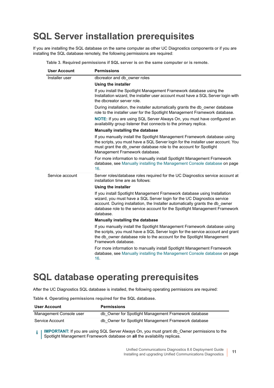## <span id="page-10-0"></span>**SQL Server installation prerequisites**

If you are installing the SQL database on the same computer as other UC Diagnostics components or if you are installing the SQL database remotely, the following permissions are required:

| <b>User Account</b> | <b>Permissions</b>                                                                                                                                                                                                                                                                                                                |
|---------------------|-----------------------------------------------------------------------------------------------------------------------------------------------------------------------------------------------------------------------------------------------------------------------------------------------------------------------------------|
| Installer user      | dbcreator and db owner roles                                                                                                                                                                                                                                                                                                      |
|                     | Using the installer                                                                                                                                                                                                                                                                                                               |
|                     | If you install the Spotlight Management Framework database using the<br>Installation wizard, the installer user account must have a SQL Server login with<br>the dbcreator server role.                                                                                                                                           |
|                     | During installation, the installer automatically grants the db owner database<br>role to the installer user for the Spotlight Management Framework database.                                                                                                                                                                      |
|                     | NOTE: If you are using SQL Server Always On, you must have configured an<br>availability group listener that connects to the primary replica.                                                                                                                                                                                     |
|                     | Manually installing the database                                                                                                                                                                                                                                                                                                  |
|                     | If you manually install the Spotlight Management Framework database using<br>the scripts, you must have a SQL Server login for the installer user account. You<br>must grant the db owner database role to the account for Spotlight<br>Management Framework database.                                                            |
|                     | For more information to manually install Spotlight Management Framework<br>database, see Manually installing the Management Console database on page<br>16.                                                                                                                                                                       |
| Service account     | Server roles/database roles required for the UC Diagnostics service account at<br>installation time are as follows:                                                                                                                                                                                                               |
|                     | Using the installer                                                                                                                                                                                                                                                                                                               |
|                     | If you install Spotlight Management Framework database using Installation<br>wizard, you must have a SQL Server login for the UC Diagnostics service<br>account. During installation, the Installer automatically grants the db_owner<br>database role to the service account for the Spotlight Management Framework<br>database. |
|                     | Manually installing the database                                                                                                                                                                                                                                                                                                  |
|                     | If you manually install the Spotlight Management Framework database using<br>the scripts, you must have a SQL Server login for the service account and grant<br>the db_owner database role to the account for the Spotlight Management<br>Framework database.                                                                     |
|                     | For more information to manually install Spotlight Management Framework<br>database, see Manually installing the Management Console database on page<br>16.                                                                                                                                                                       |

**Table 3. Required permissions if SQL server is on the same computer or is remote.**

## <span id="page-10-1"></span>**SQL database operating prerequisites**

After the UC Diagnostics SQL database is installed, the following operating permissions are required:

**Table 4. Operating permissions required for the SQL database.**

| <b>User Account</b>     | <b>Permissions</b>                                   |  |  |
|-------------------------|------------------------------------------------------|--|--|
| Management Console user | db Owner for Spotlight Management Framework database |  |  |
| Service Account         | db Owner for Spotlight Management Framework database |  |  |

**I IMPORTANT:** If you are using SQL Server Always On, you must grant db Owner permissions to the f. Spotlight Management Framework database on **all** the availability replicas.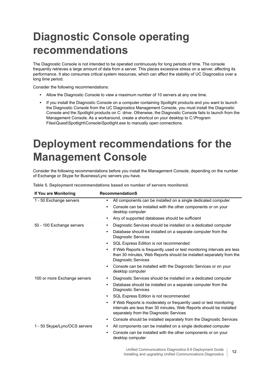# <span id="page-11-0"></span>**Diagnostic Console operating recommendations**

The Diagnostic Console is not intended to be operated continuously for long periods of time. The console frequently retrieves a large amount of data from a server. This places excessive stress on a server, affecting its performance. It also consumes critical system resources, which can affect the stability of UC Diagnostics over a long time period.

Consider the following recommendations:

- **•** Allow the Diagnostic Console to view a maximum number of 10 servers at any one time.
- **•** If you install the Diagnostic Console on a computer containing Spotlight products and you want to launch the Diagnostic Console from the UC Diagnostics Management Console, you must install the Diagnostic Console and the Spotlight products on C: drive. Otherwise, the Diagnostic Console fails to launch from the Management Console. As a workaround, create a shortcut on your desktop to C:\Program Files\Quest\Spotlight\Console\Spotlight.exe to manually open connections.

# <span id="page-11-1"></span>**Deployment recommendations for the Management Console**

Consider the following recommendations before you install the Management Console, depending on the number of Exchange or Skype for Business/Lync servers you have.

| If You are Monitoring         | <b>RecommendationS</b>                                                                                                                                                                    |
|-------------------------------|-------------------------------------------------------------------------------------------------------------------------------------------------------------------------------------------|
| 1 - 50 Exchange servers       | All components can be installed on a single dedicated computer<br>$\bullet$                                                                                                               |
|                               | Console can be installed with the other components or on your<br>desktop computer                                                                                                         |
|                               | Any of supported databases should be sufficient<br>$\bullet$                                                                                                                              |
| 50 - 100 Exchange servers     | Diagnostic Services should be installed on a dedicated computer<br>$\bullet$                                                                                                              |
|                               | Database should be installed on a separate computer from the<br><b>Diagnostic Services</b>                                                                                                |
|                               | SQL Express Edition is not recommended<br>$\bullet$                                                                                                                                       |
|                               | If Web Reports is frequently used or test monitoring intervals are less<br>$\bullet$<br>than 30 minutes, Web Reports should be installed separately from the<br>Diagnostic Services       |
|                               | Console can be installed with the Diagnostic Services or on your<br>desktop computer                                                                                                      |
| 100 or more Exchange servers  | Diagnostic Services should be installed on a dedicated computer<br>$\bullet$                                                                                                              |
|                               | Database should be installed on a separate computer from the<br><b>Diagnostic Services</b>                                                                                                |
|                               | SQL Express Edition is not recommended<br>$\bullet$                                                                                                                                       |
|                               | If Web Reports is moderately or frequently used or test monitoring<br>٠<br>intervals are less than 30 minutes, Web Reports should be installed<br>separately from the Diagnostic Services |
|                               | Console should be installed separately from the Diagnostic Services<br>$\bullet$                                                                                                          |
| 1 - 50 Skype/Lync/OCS servers | All components can be installed on a single dedicated computer                                                                                                                            |
|                               | Console can be installed with the other components or on your<br>٠<br>desktop computer                                                                                                    |

**Table 5. Deployment recommendations based on number of servers monitored.**

Unified Communications Diagnostics 8.6 Deployment Guide Installing and upgrading Unified Communications Diagnostics **12**<br>Installing and upgrading Unified Communications Diagnostics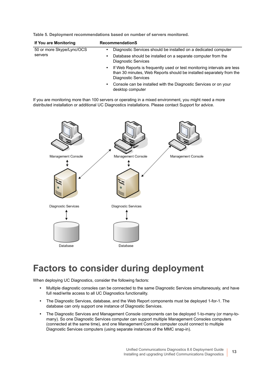**Table 5. Deployment recommendations based on number of servers monitored.**

| If You are Monitoring     | <b>RecommendationS</b>                                                                                                                                                                     |  |  |  |  |
|---------------------------|--------------------------------------------------------------------------------------------------------------------------------------------------------------------------------------------|--|--|--|--|
| 50 or more Skype/Lync/OCS | Diagnostic Services should be installed on a dedicated computer<br>٠                                                                                                                       |  |  |  |  |
| servers                   | Database should be installed on a separate computer from the<br>٠<br><b>Diagnostic Services</b>                                                                                            |  |  |  |  |
|                           | If Web Reports is frequently used or test monitoring intervals are less<br>$\bullet$<br>than 30 minutes, Web Reports should be installed separately from the<br><b>Diagnostic Services</b> |  |  |  |  |
|                           | Console can be installed with the Diagnostic Services or on your<br>٠<br>desktop computer                                                                                                  |  |  |  |  |

If you are monitoring more than 100 servers or operating in a mixed environment, you might need a more distributed installation or additional UC Diagnostics installations. Please contact Support for advice.



## <span id="page-12-0"></span>**Factors to consider during deployment**

When deploying UC Diagnostics, consider the following factors:

- **•** Multiple diagnostic consoles can be connected to the same Diagnostic Services simultaneously, and have full read/write access to all UC Diagnostics functionality.
- **•** The Diagnostic Services, database, and the Web Report components must be deployed 1-for-1. The database can only support one instance of Diagnostic Services.
- **•** The Diagnostic Services and Management Console components can be deployed 1-to-many (or many-tomany). So one Diagnostic Services computer can support multiple Management Consoles computers (connected at the same time), and one Management Console computer could connect to multiple Diagnostic Services computers (using separate instances of the MMC snap-in).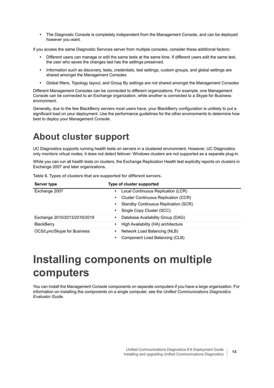**•** The Diagnostic Console is completely independent from the Management Console, and can be deployed however you want.

if you access the same Diagnostic Services server from multiple consoles, consider these additional factors:

- **•** Different users can manage or edit the same tests at the same time. If different users edit the same test, the user who saves the changes last has the settings preserved.
- **•** Information such as discovery, tests, credentials, test settings, custom groups, and global settings are shared amongst the Management Consoles
- **•** Global filters, Topology layout, and Group By settings are not shared amongst the Management Consoles

Different Management Consoles can be connected to different organizations. For example, one Management Console can be connected to an Exchange organization, while another is connected to a Skype for Business environment.

Generally, due to the few BlackBerry servers most users have, your BlackBerry configuration is unlikely to put a significant load on your deployment. Use the performance guidelines for the other environments to determine how best to deploy your Management Console.

## <span id="page-13-0"></span>**About cluster support**

UC Diagnostics supports running health tests on servers in a clustered environment. However, UC Diagnostics only monitors virtual nodes; it does not detect failover. Windows clusters are not supported as a separate plug-in.

While you can run all health tests on clusters, the Exchange Replication Health test explicitly reports on clusters in Exchange 2007 and later organizations.

|  |  |  |  |  |  | Table 6. Types of clusters that are supported for different servers. |
|--|--|--|--|--|--|----------------------------------------------------------------------|
|--|--|--|--|--|--|----------------------------------------------------------------------|

| Server type                  | Type of cluster supported                                |  |  |
|------------------------------|----------------------------------------------------------|--|--|
| Exchange 2007                | Local Continuous Replication (LCR)<br>$\bullet$          |  |  |
|                              | <b>Cluster Continuous Replication (CCR)</b><br>$\bullet$ |  |  |
|                              | Standby Continuous Replication (SCR)<br>٠                |  |  |
|                              | Single Copy Cluster (SCC)<br>$\bullet$                   |  |  |
| Exchange 2010/2013/2016/2019 | Database Availability Group (DAG)<br>$\bullet$           |  |  |
| <b>BlackBerry</b>            | High Availability (HA) architecture<br>$\bullet$         |  |  |
| OCS/Lync/Skype for Business  | Network Load Balancing (NLB)<br>$\bullet$                |  |  |
|                              | Component Load Balancing (CLB)<br>٠                      |  |  |

# <span id="page-13-1"></span>**Installing components on multiple computers**

You can install the Management Console components on separate computers if you have a large organization. For information on installing the components on a single computer, see the *Unified Communications Diagnostics Evaluator Guide*.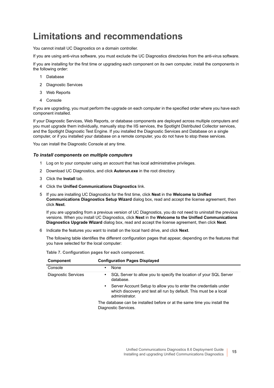## <span id="page-14-0"></span>**Limitations and recommendations**

You cannot install UC Diagnostics on a domain controller.

If you are using anti-virus software, you must exclude the UC Diagnostics directories from the anti-virus software.

If you are installing for the first time or upgrading each component on its own computer, install the components in the following order:

- 1 Database
- 2 Diagnostic Services
- 3 Web Reports
- 4 Console

If you are upgrading, you must perform the upgrade on each computer in the specified order where you have each component installed.

If your Diagnostic Services, Web Reports, or database components are deployed across multiple computers and you must upgrade them individually, manually stop the IIS services, the Spotlight Distributed Collector services, and the Spotlight Diagnostic Test Engine. If you installed the Diagnostic Services and Database on a single computer, or if you installed your database on a remote computer, you do not have to stop these services.

You can install the Diagnostic Console at any time.

#### *To install components on multiple computers*

- 1 Log on to your computer using an account that has local administrative privileges.
- 2 Download UC Diagnostics, and click **Autorun.exe** in the root directory.
- 3 Click the **Install** tab.
- 4 Click the **Unified Communications Diagnostics** link.
- 5 If you are installing UC Diagnostics for the first time, click **Next** in the **Welcome to Unified Communications Diagnostics Setup Wizard** dialog box, read and accept the license agreement, then click **Next**.

If you are upgrading from a previous version of UC Diagnostics, you do not need to uninstall the previous versions. When you install UC Diagnostics, click **Next** in the **Welcome to the Unified Communications Diagnostics Upgrade Wizard** dialog box, read and accept the license agreement, then click **Next**.

6 Indicate the features you want to install on the local hard drive, and click **Next**.

The following table identifies the different configuration pages that appear, depending on the features that you have selected for the local computer:

| Component                  | <b>Configuration Pages Displayed</b>                                                                                                                                 |  |
|----------------------------|----------------------------------------------------------------------------------------------------------------------------------------------------------------------|--|
| Console                    | None<br>٠                                                                                                                                                            |  |
| <b>Diagnostic Services</b> | SQL Server to allow you to specify the location of your SQL Server<br>$\bullet$<br>database.                                                                         |  |
|                            | Server Account Setup to allow you to enter the credentials under<br>$\bullet$<br>which discovery and test all run by default. This must be a local<br>administrator. |  |
|                            | The database can be installed before or at the same time you install the<br>Diagnostic Services.                                                                     |  |

**Table 7. Configuration pages for each component.**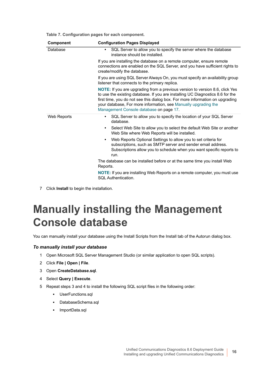**Table 7. Configuration pages for each component.**

| Component   | <b>Configuration Pages Displayed</b>                                                                                                                                                                                                                                                                                                                          |  |  |  |
|-------------|---------------------------------------------------------------------------------------------------------------------------------------------------------------------------------------------------------------------------------------------------------------------------------------------------------------------------------------------------------------|--|--|--|
| Database    | SQL Server to allow you to specify the server where the database<br>$\bullet$<br>instance should be installed.                                                                                                                                                                                                                                                |  |  |  |
|             | If you are installing the database on a remote computer, ensure remote<br>connections are enabled on the SQL Server, and you have sufficient rights to<br>create/modify the database.                                                                                                                                                                         |  |  |  |
|             | If you are using SQL Server Always On, you must specify an availability group<br>listener that connects to the primary replica.                                                                                                                                                                                                                               |  |  |  |
|             | NOTE: If you are upgrading from a previous version to version 8.6, click Yes<br>to use the existing database. If you are installing UC Diagnostics 8.6 for the<br>first time, you do not see this dialog box. For more information on upgrading<br>your database, For more information, see Manually upgrading the<br>Management Console database on page 17. |  |  |  |
| Web Reports | SQL Server to allow you to specify the location of your SQL Server<br>database.                                                                                                                                                                                                                                                                               |  |  |  |
|             | Select Web Site to allow you to select the default Web Site or another<br>٠<br>Web Site where Web Reports will be installed.                                                                                                                                                                                                                                  |  |  |  |
|             | Web Reports Optional Settings to allow you to set criteria for<br>$\bullet$<br>subscriptions, such as SMTP server and sender email address.<br>Subscriptions allow you to schedule when you want specific reports to<br>run.                                                                                                                                  |  |  |  |
|             | The database can be installed before or at the same time you install Web<br>Reports.                                                                                                                                                                                                                                                                          |  |  |  |
|             | <b>NOTE:</b> If you are installing Web Reports on a remote computer, you must use<br>SQL Authentication.                                                                                                                                                                                                                                                      |  |  |  |

7 Click **Install** to begin the installation.

# <span id="page-15-0"></span>**Manually installing the Management Console database**

You can manually install your database using the Install Scripts from the Install tab of the Autorun dialog box.

#### *To manually install your database*

- 1 Open Microsoft SQL Server Management Studio (or similar application to open SQL scripts).
- 2 Click **File | Open | File**.
- 3 Open **CreateDatabase.sql**.
- 4 Select **Query | Execute**.
- 5 Repeat steps 3 and 4 to install the following SQL script files in the following order:
	- **▪** UserFunctions.sql
	- **▪** DatabaseSchema.sql
	- **▪** ImportData.sql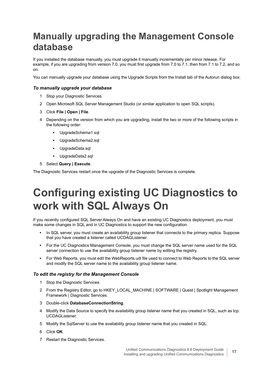## <span id="page-16-0"></span>**Manually upgrading the Management Console database**

If you installed the database manually, you must upgrade it manually incrementally per minor release. For example, if you are upgrading from version 7.0, you must first upgrade from 7.0 to 7.1, then from 7.1 to 7.2, and so on.

You can manually upgrade your database using the Upgrade Scripts from the Install tab of the Autorun dialog box.

#### *To manually upgrade your database*

- 1 Stop your Diagnostic Services.
- 2 Open Microsoft SQL Server Management Studio (or similar application to open SQL scripts).
- 3 Click **File | Open | File**.
- 4 Depending on the version from which you are upgrading, install the two or more of the following scripts in the following order:
	- **▪** UpgradeSchema1.sql
	- **▪** UpgradeSchema2.sql
	- **▪** UpgradeData.sql
	- **▪** UpgradeData2.sql
- 5 Select **Query | Execute**.

The Diagnostic Services restart once the upgrade of the Diagnostic Services is complete.

# <span id="page-16-1"></span>**Configuring existing UC Diagnostics to work with SQL Always On**

If you recently configured SQL Server Always On and have an existing UC Diagnostics deployment, you must make some changes in SQL and in UC Diagnostics to support the new configuration.

- **•** In SQL server, you must create an availability group listener that connects to the primary replica. Suppose that you have created a listener called UCDAGListener.
- **•** For the UC Diagnostics Management Console, you must change the SQL server name used for the SQL server connection to use the availability group listener name by editing the registry.
- **•** For Web Reports, you must edit the WebReports.udl file used to connect to Web Reports to the SQL server and modify the SQL server name to the availability group listener name.

#### *To edit the registry for the Management Console*

- 1 Stop the Diagnostic Services.
- 2 From the Registry Editor, go to HKEY\_LOCAL\_MACHINE | SOFTWARE | Quest | Spotlight Management Framework | Diagnostic Services.
- 3 Double-click **DatabaseConnectionString**.
- 4 Modify the Data Source to specify the availability group listener name that you created in SQL, such as tcp: UCDAGListener.
- 5 Modify the SqlServer to use the availability group listener name that you created in SQL.
- 6 Click **OK**.
- 7 Restart the Diagnostic Services.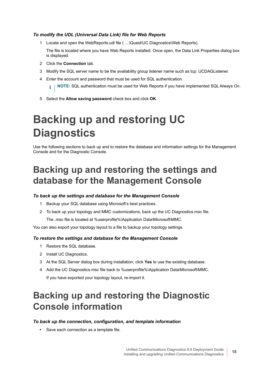#### *To modify the UDL (Universal Data Link) file for Web Reports*

1 Locate and open the WebReports.udl file ( …\Quest\UC Diagnostics\Web Reports).

The file is located where you have Web Reports installed. Once open, the Data Link Properties dialog box is displayed.

- 2 Click the **Connection** tab.
- 3 Modify the SQL server name to be the availability group listener name such as tcp: UCDAGListener.
- 4 Enter the account and password that must be used for SQL authentication.

**NOTE:** SQL authentication must be used for Web Reports if you have implemented SQL Always On.i I

5 Select the **Allow saving password** check box and click **OK**.

# <span id="page-17-0"></span>**Backing up and restoring UC Diagnostics**

Use the following sections to back up and to restore the database and information settings for the Management Console and for the Diagnostic Console.

## <span id="page-17-1"></span>**Backing up and restoring the settings and database for the Management Console**

#### *To back up the settings and database for the Management Console*

- 1 Backup your SQL database using Microsoft's best practices.
- 2 To back up your topology and MMC customizations, back up the UC Diagnostics.msc file.

The .msc file is located at %userprofile%\Application Data\Microsoft\MMC.

You can also export your topology layout to a file to backup your topology settings.

#### *To restore the settings and database for the Management Console*

- 1 Restore the SQL database.
- 2 Install UC Diagnostics.
- 3 At the SQL Server dialog box during installation, click **Yes** to use the existing database.
- 4 Add the UC Diagnostics.msc file back to %userprofile%\Application Data\Microsoft\MMC. If you have exported your topology layout, re-import it.

## <span id="page-17-2"></span>**Backing up and restoring the Diagnostic Console information**

#### *To back up the connection, configuration, and template information*

**•** Save each connection as a template file.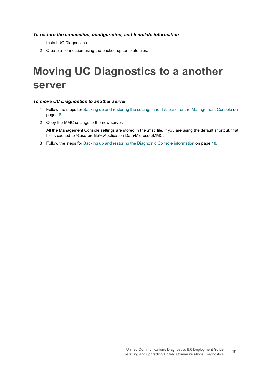#### *To restore the connection, configuration, and template information*

- 1 Install UC Diagnostics.
- 2 Create a connection using the backed up template files.

# <span id="page-18-0"></span>**Moving UC Diagnostics to a another server**

#### *To move UC Diagnostics to another server*

- 1 Follow the steps for [Backing up and restoring the settings and database for the Management Console on](#page-17-1)  [page 18](#page-17-1).
- 2 Copy the MMC settings to the new server.

All the Management Console settings are stored in the .msc file. If you are using the default shortcut, that file is cached to %userprofile%\Application Data\Microsoft\MMC.

3 Follow the steps for [Backing up and restoring the Diagnostic Console information on page 18.](#page-17-2)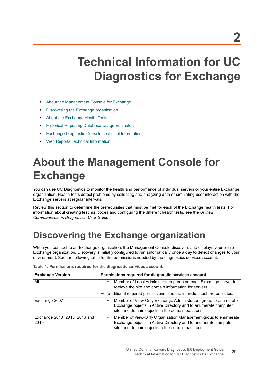# <span id="page-19-0"></span>**Technical Information for UC Diagnostics for Exchange**

- **•** [About the Management Console for Exchange](#page-19-1)
- **•** [Discovering the Exchange organization](#page-19-2)
- **•** [About the Exchange Health Tests](#page-20-0)
- **•** [Historical Reporting Database Usage Estimates](#page-34-1)
- **•** [Exchange Diagnostic Console Technical Information](#page-36-0)
- **•** [Web Reports Technical Information](#page-37-1)

# <span id="page-19-1"></span>**About the Management Console for Exchange**

You can use UC Diagnostics to monitor the health and performance of individual servers or your entire Exchange organization. Health tests detect problems by collecting and analyzing data or simulating user interaction with the Exchange servers at regular intervals.

Review this section to determine the prerequisites that must be met for each of the Exchange health tests. For information about creating test mailboxes and configuring the different health tests, see the *Unified Communications Diagnostics User Guide*.

## <span id="page-19-2"></span>**Discovering the Exchange organization**

When you connect to an Exchange organization, the Management Console discovers and displays your entire Exchange organization. Discovery is initially configured to run automatically once a day to detect changes to your environment. See the following table for the permissions needed by the diagnostics services account.

**Table 1. Permissions required for the diagnostic services account.**

| <b>Exchange Version</b>               | Permissions required for diagnostic services account                                                                                                                                    |
|---------------------------------------|-----------------------------------------------------------------------------------------------------------------------------------------------------------------------------------------|
| All                                   | Member of Local Administrators group on each Exchange server to<br>retrieve the site and domain information for servers.                                                                |
|                                       | For additional required permissions, see the individual test prerequisites.                                                                                                             |
| Exchange 2007                         | Member of View-Only Exchange Administrators group to enumerate<br>Exchange objects in Active Directory and to enumerate computer,<br>site, and domain objects in the domain partitions. |
| Exchange 2010, 2013, 2016 and<br>2019 | Member of View-Only Organization Management group to enumerate<br>Exchange objects in Active Directory and to enumerate computer,<br>site, and domain objects in the domain partitions. |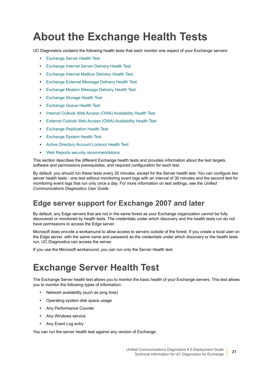# <span id="page-20-0"></span>**About the Exchange Health Tests**

UC Diagnostics contains the following health tests that each monitor one aspect of your Exchange servers:

- **•** [Exchange Server Health Test](#page-20-1)
- **•** [Exchange Internal Server Delivery Health Test](#page-22-0)
- **•** [Exchange Internal Mailbox Delivery Health Test](#page-24-0)
- **•** [Exchange External Message Delivery Health Test](#page-25-0)
- **•** [Exchange Modern Message Delivery Health Test](#page-26-0)
- **•** [Exchange Storage Health Test](#page-28-0)
- **•** [Exchange Queue Health Test](#page-29-0)
- **•** [Internal Outlook Web Access \(OWA\) Availability Health Test](#page-30-0)
- **•** [External Outlook Web Access \(OWA\) Availability Health Test](#page-31-0)
- **•** [Exchange Replication Health Test](#page-32-0)
- **•** [Exchange System Health Test](#page-33-0)
- **•** [Active Directory Account Lockout Health Test](#page-34-0)
- **•** [Web Reports security recommendations](#page-37-2)

This section describes the different Exchange health tests and provides information about the test targets, software and permissions prerequisites, and required configuration for each test.

By default, you should run these tests every 30 minutes, except for the Server health test. You can configure two server health tests - one test without monitoring event logs with an interval of 30 minutes and the second test for monitoring event logs that run only once a day. For more information on test settings, see the *Unified Communications Diagnostics User Guide*.

### **Edge server support for Exchange 2007 and later**

By default, any Edge servers that are not in the same forest as your Exchange organization cannot be fully discovered or monitored by health tests. The credentials under which discovery and the health tests run do not have permissions to access the Edge server.

Microsoft does provide a workaround to allow access to servers outside of the forest. If you create a local user on the Edge server, with the same name and password as the credentials under which discovery or the health tests run, UC Diagnostics can access the server.

If you use the Microsoft workaround, you can run only the Server Health test.

## <span id="page-20-1"></span>**Exchange Server Health Test**

The Exchange Server health test allows you to monitor the basic health of your Exchange servers. This test allows you to monitor the following types of information:

- **•** Network availability (such as ping time)
- **•** Operating system disk space usage
- **•** Any Performance Counter
- **•** Any Windows service
- **•** Any Event Log entry

You can run the server health test against any version of Exchange.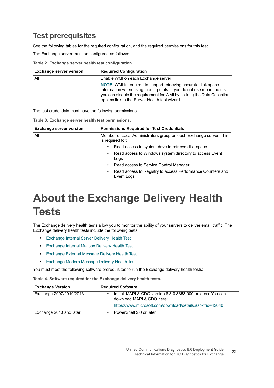### **Test prerequisites**

See the following tables for the required configuration, and the required permissions for this test.

The Exchange server must be configured as follows:

**Table 2. Exchange server health test configuration.**

| <b>Exchange server version</b> | <b>Required Configuration</b>                                                                                                                                                                                                                                               |
|--------------------------------|-----------------------------------------------------------------------------------------------------------------------------------------------------------------------------------------------------------------------------------------------------------------------------|
| All                            | Enable WMI on each Exchange server                                                                                                                                                                                                                                          |
|                                | <b>NOTE:</b> WMI is required to support retrieving accurate disk space<br>information when using mount points. If you do not use mount points,<br>you can disable the requirement for WMI by clicking the Data Collection<br>options link in the Server Health test wizard. |

The test credentials must have the following permissions.

**Table 3. Exchange server health test permissions.**

| <b>Exchange server version</b> | <b>Permissions Required for Test Credentials</b>                                       |  |  |
|--------------------------------|----------------------------------------------------------------------------------------|--|--|
| All                            | Member of Local Administrators group on each Exchange server. This<br>is required for: |  |  |
|                                | Read access to system drive to retrieve disk space<br>٠                                |  |  |
|                                | Read access to Windows system directory to access Event<br>$\bullet$<br>Logs           |  |  |
|                                | Read access to Service Control Manager<br>$\bullet$                                    |  |  |
|                                | Read access to Registry to access Performance Counters and<br>$\bullet$<br>Event Logs  |  |  |

# <span id="page-21-0"></span>**About the Exchange Delivery Health Tests**

The Exchange delivery health tests allow you to monitor the ability of your servers to deliver email traffic. The Exchange delivery health tests include the following tests:

- **•** [Exchange Internal Server Delivery Health Test](#page-22-0)
- **•** [Exchange Internal Mailbox Delivery Health Test](#page-24-0)
- **•** [Exchange External Message Delivery Health Test](#page-25-0)
- **•** [Exchange Modern Message Delivery Health Test](#page-26-0)

You must meet the following software prerequisites to run the Exchange delivery health tests:

**Table 4. Software required for the Exchange delivery health tests.**

| <b>Exchange Version</b> | <b>Required Software</b>                                                                               |
|-------------------------|--------------------------------------------------------------------------------------------------------|
| Exchange 2007/2010/2013 | Install MAPI & CDO version 8.3.0.8353.000 or later). You can<br>$\bullet$<br>download MAPI & CDO here: |
|                         | https://www.microsoft.com/download/details.aspx?id=42040                                               |
| Exchange 2010 and later | PowerShell 2.0 or later                                                                                |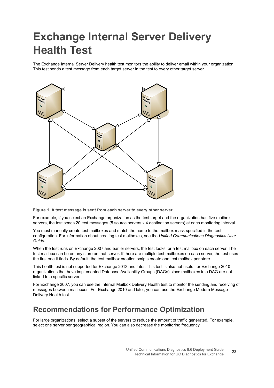# <span id="page-22-0"></span>**Exchange Internal Server Delivery Health Test**

The Exchange Internal Server Delivery health test monitors the ability to deliver email within your organization. This test sends a test message from each target server in the test to every other target server.



**Figure 1. A test message is sent from each server to every other server.**

For example, if you select an Exchange organization as the test target and the organization has five mailbox servers, the test sends 20 test messages (5 source servers x 4 destination servers) at each monitoring interval.

You must manually create test mailboxes and match the name to the mailbox mask specified in the test configuration. For information about creating test mailboxes, see the *Unified Communications Diagnostics User Guide.*

When the test runs on Exchange 2007 and earlier servers, the test looks for a test mailbox on each server. The test mailbox can be on any store on that server. If there are multiple test mailboxes on each server, the test uses the first one it finds. By default, the test mailbox creation scripts create one test mailbox per store.

This health test is not supported for Exchange 2013 and later. This test is also not useful for Exchange 2010 organizations that have implemented Database Availability Groups (DAGs) since mailboxes in a DAG are not linked to a specific server.

For Exchange 2007, you can use the Internal Mailbox Delivery Health test to monitor the sending and receiving of messages between mailboxes. For Exchange 2010 and later, you can use the Exchange Modern Message Delivery Health test.

### **Recommendations for Performance Optimization**

For large organizations, select a subset of the servers to reduce the amount of traffic generated. For example, select one server per geographical region. You can also decrease the monitoring frequency.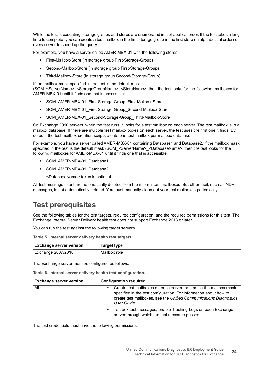While the test is executing, storage groups and stores are enumerated in alphabetical order. If the test takes a long time to complete, you can create a test mailbox in the first storage group in the first store (in alphabetical order) on every server to speed up the query.

For example, you have a server called AMER-MBX-01 with the following stores:

- **•** First-Mailbox-Store (in storage group First-Storage-Group)
- **•** Second-Mailbox-Store (in storage group First-Storage-Group)
- **•** Third-Mailbox-Store (in storage group Second-Storage-Group)

If the mailbox mask specified in the test is the default mask

(SOM\_<ServerName>\_<StorageGroupName>\_<StoreName>, then the test looks for the following mailboxes for AMER-MBX-01 until it finds one that is accessible:

- **•** SOM\_AMER-MBX-01\_First-Storage-Group\_First-Mailbox-Store
- **•** SOM\_AMER-MBX-01\_First-Storage-Group\_Second-Mailbox-Store
- **•** SOM\_AMER-MBX-01\_Second-Storage-Group\_Third-Mailbox-Store

On Exchange 2010 servers, when the test runs, it looks for a test mailbox on each server. The test mailbox is in a mailbox database. If there are multiple test mailbox boxes on each server, the test uses the first one it finds. By default, the test mailbox creation scripts create one test mailbox per mailbox database.

For example, you have a server called AMER-MBX-01 containing Database1 and Database2. If the mailbox mask specified in the test is the default mask (SOM\_<ServerName>\_<DatabaseName>, then the test looks for the following mailboxes for AMER-MBX-01 until it finds one that is accessible:

- **•** SOM\_AMER-MBX-01\_Database1
- **•** SOM\_AMER-MBX-01\_Database2
	- <DatabaseName> token is optional.

All test messages sent are automatically deleted from the internal test mailboxes. But other mail, such as NDR messages, is not automatically deleted. You must manually clean out your test mailboxes periodically.

### **Test prerequisites**

See the following tables for the test targets, required configuration, and the required permissions for this test. The Exchange Internal Server Delivery health test does not support Exchange 2013 or later.

You can run the test against the following target servers.

**Table 5. Internal server delivery health test targets.**

| <b>Exchange server version</b> | Target type  |
|--------------------------------|--------------|
| Exchange 2007/2010             | Mailbox role |

The Exchange server must be configured as follows:

**Table 6. Internal server delivery health test configuration.**

| <b>Exchange server version</b> | <b>Configuration required</b>                                                                                                                                                                                             |
|--------------------------------|---------------------------------------------------------------------------------------------------------------------------------------------------------------------------------------------------------------------------|
| All                            | Create test mailboxes on each server that match the mailbox mask<br>specified in the test configuration. For information about how to<br>create test mailboxes, see the Unified Communications Diagnostics<br>User Guide. |
|                                | To track test messages, enable Tracking Logs on each Exchange<br>$\bullet$<br>server through which the test message passes.                                                                                               |

The test credentials must have the following permissions.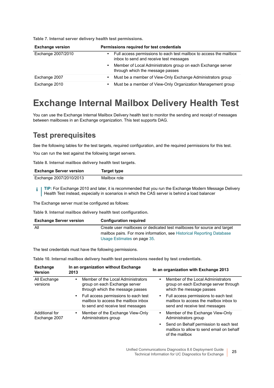|  |  |  | Table 7. Internal server delivery health test permissions. |
|--|--|--|------------------------------------------------------------|
|  |  |  |                                                            |

| <b>Exchange version</b> | Permissions required for test credentials                                                                     |  |  |
|-------------------------|---------------------------------------------------------------------------------------------------------------|--|--|
| Exchange 2007/2010      | Full access permissions to each test mailbox to access the mailbox<br>inbox to send and receive test messages |  |  |
|                         | Member of Local Administrators group on each Exchange server<br>٠<br>through which the message passes         |  |  |
| Exchange 2007           | Must be a member of View-Only Exchange Administrators group<br>٠                                              |  |  |
| Exchange 2010           | Must be a member of View-Only Organization Management group<br>٠                                              |  |  |

## <span id="page-24-0"></span>**Exchange Internal Mailbox Delivery Health Test**

You can use the Exchange Internal Mailbox Delivery health test to monitor the sending and receipt of messages between mailboxes in an Exchange organization. This test supports DAG.

### **Test prerequisites**

See the following tables for the test targets, required configuration, and the required permissions for this test.

You can run the test against the following target servers.

**Table 8. Internal mailbox delivery health test targets.**

| <b>Exchange Server version</b> | Target type  |
|--------------------------------|--------------|
| Exchange 2007/2010/2013        | Mailbox role |

**TIP:** For Exchange 2010 and later, it is recommended that you run the Exchange Modern Message Delivery í Health Test instead, especially in scenarios in which the CAS server is behind a load balancer

The Exchange server must be configured as follows:

**Table 9. Internal mailbox delivery health test configuration.**

| <b>Exchange Server version</b> | <b>Configuration required</b>                                           |
|--------------------------------|-------------------------------------------------------------------------|
| All                            | Create user mailboxes or dedicated test mailboxes for source and target |
|                                | mailbox pairs. For more information, see Historical Reporting Database  |
|                                | Usage Estimates on page 35.                                             |

The test credentials must have the following permissions.

**Table 10. Internal mailbox delivery health test permissions needed by test credentials.**

| <b>Exchange</b><br><b>Version</b> | In an organization without Exchange<br>2013                                                                        | In an organization with Exchange 2013                                                                                 |
|-----------------------------------|--------------------------------------------------------------------------------------------------------------------|-----------------------------------------------------------------------------------------------------------------------|
| All Exchange<br>versions          | Member of the Local Administrators<br>٠<br>group on each Exchange server<br>through which the message passes       | Member of the Local Administrators<br>٠<br>group on each Exchange server through<br>which the message passes          |
|                                   | • Full access permissions to each test<br>mailbox to access the mailbox inbox<br>to send and receive test messages | Full access permissions to each test<br>٠<br>mailbox to access the mailbox inbox to<br>send and receive test messages |
| Additional for<br>Exchange 2007   | Member of the Exchange View-Only<br>٠<br>Administrators group                                                      | Member of the Exchange View-Only<br>$\bullet$<br>Administrators group                                                 |
|                                   |                                                                                                                    | Send on Behalf permission to each test<br>$\bullet$<br>mailbox to allow to send email on behalf<br>of the mailbox     |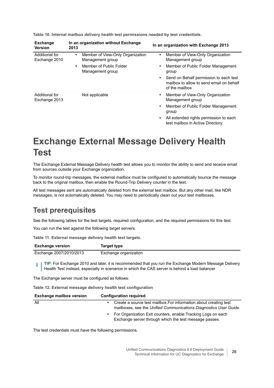| <b>Exchange</b><br><b>Version</b> | In an organization without Exchange<br>2013                                                                                   | In an organization with Exchange 2013                                                                                                                                                                                                              |
|-----------------------------------|-------------------------------------------------------------------------------------------------------------------------------|----------------------------------------------------------------------------------------------------------------------------------------------------------------------------------------------------------------------------------------------------|
| Additional for<br>Exchange 2010   | Member of View-Only Organization<br>$\bullet$<br>Management group<br>Member of Public Folder<br>$\bullet$<br>Management group | Member of View-Only Organization<br>$\bullet$<br>Management group<br>Member of Public Folder Management<br>$\bullet$<br>group<br>Send on Behalf permission to each test<br>$\bullet$<br>mailbox to allow to send email on behalf<br>of the mailbox |
| Additional for<br>Exchange 2013   | Not applicable                                                                                                                | Member of View-Only Organization<br>٠<br>Management group<br>Member of Public Folder Management<br>$\bullet$<br>group<br>All extended rights permission to each<br>$\bullet$<br>test mailbox in Active Directory.                                  |

**Table 10. Internal mailbox delivery health test permissions needed by test credentials.**

## <span id="page-25-0"></span>**Exchange External Message Delivery Health Test**

The Exchange External Message Delivery health test allows you to monitor the ability to send and receive email from sources outside your Exchange organization.

To monitor round-trip messages, the external mailbox must be configured to automatically bounce the message back to the original mailbox, then enable the Round-Trip Delivery counter in the test.

All test messages sent are automatically deleted from the external test mailbox. But any other mail, like NDR messages, is not automatically deleted. You may need to periodically clean out your test mailboxes.

### **Test prerequisites**

See the following tables for the test targets, required configuration, and the required permissions for this test.

You can run the test against the following target servers.

**Table 11. External message delivery health test targets.**

| <b>Exchange version</b> | Target type           |
|-------------------------|-----------------------|
| Exchange 2007/2010/2013 | Exchange organization |

**TIP:** For Exchange 2010 and later, it is recommended that you run the Exchange Modern Message Delivery i. Health Test instead, especially in scenarios in which the CAS server is behind a load balancer

The Exchange server must be configured as follows:

**Table 12. External message delivery health test configuration**

| <b>Exchange mailbox version</b> | <b>Configuration required</b>                                                                                                          |
|---------------------------------|----------------------------------------------------------------------------------------------------------------------------------------|
| All                             | Create a source test mailbox. For information about creating test<br>mailboxes, see the Unified Communications Diagnostics User Guide. |
|                                 | For Organization Exit counters, enable Tracking Logs on each<br>Exchange server through which the test message passes.                 |

The test credentials must have the following permissions.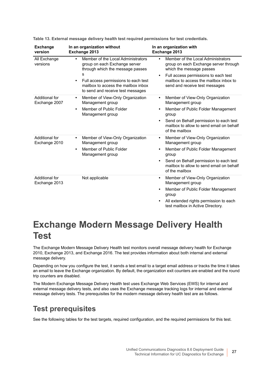| <b>Exchange</b><br>version      | In an organization without<br>Exchange 2013                                                                                                                                                                                                                | In an organization with<br>Exchange 2013                                                                                                                                                                                                           |
|---------------------------------|------------------------------------------------------------------------------------------------------------------------------------------------------------------------------------------------------------------------------------------------------------|----------------------------------------------------------------------------------------------------------------------------------------------------------------------------------------------------------------------------------------------------|
| All Exchange<br>versions        | Member of the Local Administrators<br>$\bullet$<br>group on each Exchange server<br>through which the message passes<br>s<br>Full access permissions to each test<br>$\bullet$<br>mailbox to access the mailbox inbox<br>to send and receive test messages | Member of the Local Administrators<br>group on each Exchange server through<br>which the message passes<br>Full access permissions to each test<br>$\bullet$<br>mailbox to access the mailbox inbox to<br>send and receive test messages           |
| Additional for<br>Exchange 2007 | Member of View-Only Organization<br>٠<br>Management group<br>Member of Public Folder<br>$\bullet$<br>Management group                                                                                                                                      | Member of View-Only Organization<br>$\bullet$<br>Management group<br>Member of Public Folder Management<br>$\bullet$<br>group<br>Send on Behalf permission to each test<br>$\bullet$<br>mailbox to allow to send email on behalf<br>of the mailbox |
| Additional for<br>Exchange 2010 | Member of View-Only Organization<br>$\bullet$<br>Management group<br>Member of Public Folder<br>$\bullet$<br>Management group                                                                                                                              | Member of View-Only Organization<br>٠<br>Management group<br>Member of Public Folder Management<br>$\bullet$<br>group<br>Send on Behalf permission to each test<br>$\bullet$<br>mailbox to allow to send email on behalf<br>of the mailbox         |
| Additional for<br>Exchange 2013 | Not applicable                                                                                                                                                                                                                                             | Member of View-Only Organization<br>$\bullet$<br>Management group<br>Member of Public Folder Management<br>$\bullet$<br>group<br>All extended rights permission to each<br>$\bullet$<br>test mailbox in Active Directory.                          |

**Table 13. External message delivery health test required permissions for test credentials.**

## <span id="page-26-0"></span>**Exchange Modern Message Delivery Health Test**

The Exchange Modern Message Delivery Health test monitors overall message delivery health for Exchange 2010, Exchange 2013, and Exchange 2016. The test provides information about both internal and external message delivery.

Depending on how you configure the test, it sends a test email to a target email address or tracks the time it takes an email to leave the Exchange organization. By default, the organization exit counters are enabled and the round trip counters are disabled.

The Modern Exchange Message Delivery Health test uses Exchange Web Services (EWS) for internal and external message delivery tests, and also uses the Exchange message tracking logs for internal and external message delivery tests. The prerequisites for the modern message delivery health test are as follows.

### **Test prerequisites**

See the following tables for the test targets, required configuration, and the required permissions for this test.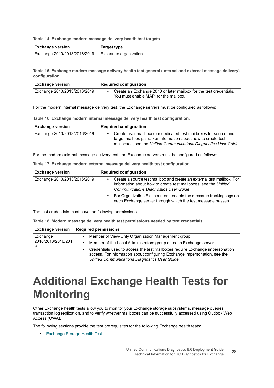**Table 14. Exchange modern message delivery health test targets**

| <b>Exchange version</b>      | Target type           |
|------------------------------|-----------------------|
| Exchange 2010/2013/2016/2019 | Exchange organization |

**Table 15. Exchange modern message delivery health test general (internal and external message delivery) configuration.**

| <b>Exchange version</b>      | <b>Required configuration</b>                                                                               |
|------------------------------|-------------------------------------------------------------------------------------------------------------|
| Exchange 2010/2013/2016/2019 | Create an Exchange 2010 or later mailbox for the test credentials.<br>You must enable MAPI for the mailbox. |

For the modern internal message delivery test, the Exchange servers must be configured as follows:

**Table 16. Exchange modern internal message delivery health test configuration.**

| <b>Exchange version</b>      | <b>Required configuration</b>                                                                                                                                                                           |
|------------------------------|---------------------------------------------------------------------------------------------------------------------------------------------------------------------------------------------------------|
| Exchange 2010/2013/2016/2019 | Create user mailboxes or dedicated test mailboxes for source and<br>target mailbox pairs. For information about how to create test<br>mailboxes, see the Unified Communications Diagnostics User Guide. |

For the modern external message delivery test, the Exchange servers must be configured as follows:

**Table 17. Exchange modern external message delivery health test configuration.**

| <b>Exchange version</b>      | <b>Required configuration</b>                                                                                                                                                      |
|------------------------------|------------------------------------------------------------------------------------------------------------------------------------------------------------------------------------|
| Exchange 2010/2013/2016/2019 | Create a source test mailbox and create an external test mailbox. For<br>information about how to create test mailboxes, see the Unified<br>Communications Diagnostics User Guide. |
|                              | For Organization Exit counters, enable the message tracking logs on<br>each Exchange server through which the test message passes.                                                 |

The test credentials must have the following permissions.

**Table 18. Modern message delivery health test permissions needed by test credentials.**

|                    | <b>Exchange version</b> Required permissions                                                                                                                                                                     |  |
|--------------------|------------------------------------------------------------------------------------------------------------------------------------------------------------------------------------------------------------------|--|
| Exchange           | Member of View-Only Organization Management group<br>٠                                                                                                                                                           |  |
| 2010/2013/2016/201 | Member of the Local Administrators group on each Exchange server<br>٠                                                                                                                                            |  |
| 9                  | Credentials used to access the test mailboxes require Exchange impersonation<br>٠<br>access. For information about configuring Exchange impersonation, see the<br>Unified Communications Diagnostics User Guide. |  |

# <span id="page-27-0"></span>**Additional Exchange Health Tests for Monitoring**

Other Exchange health tests allow you to monitor your Exchange storage subsystems, message queues, transaction log replication, and to verify whether mailboxes can be successfully accessed using Outlook Web Access (OWA).

The following sections provide the test prerequisites for the following Exchange health tests:

**•** [Exchange Storage Health Test](#page-28-0)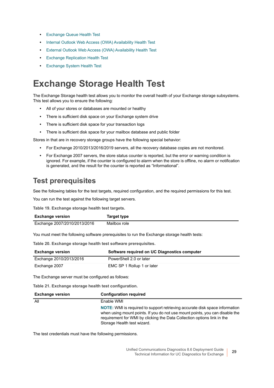- **•** [Exchange Queue Health Test](#page-29-0)
- **•** [Internal Outlook Web Access \(OWA\) Availability Health Test](#page-30-0)
- **•** [External Outlook Web Access \(OWA\) Availability Health Test](#page-31-0)
- **•** [Exchange Replication Health Test](#page-32-0)
- **•** [Exchange System Health Test](#page-33-0)

## <span id="page-28-0"></span>**Exchange Storage Health Test**

The Exchange Storage health test allows you to monitor the overall health of your Exchange storage subsystems. This test allows you to ensure the following:

- **•** All of your stores or databases are mounted or healthy
- **•** There is sufficient disk space on your Exchange system drive
- **•** There is sufficient disk space for your transaction logs
- **•** There is sufficient disk space for your mailbox database and public folder

Stores in that are in recovery storage groups have the following special behavior:

- **•** For Exchange 2010/2013/2016/2019 servers, all the recovery database copies are not monitored.
- **•** For Exchange 2007 servers, the store status counter is reported, but the error or warning condition is ignored. For example, if the counter is configured to alarm when the store is offline, no alarm or notification is generated, and the result for the counter is reported as "Informational".

### **Test prerequisites**

See the following tables for the test targets, required configuration, and the required permissions for this test.

You can run the test against the following target servers.

**Table 19. Exchange storage health test targets.**

| <b>Exchange version</b>      | Target type  |
|------------------------------|--------------|
| Exchange 2007/2010/2013/2016 | Mailbox role |

You must meet the following software prerequisites to run the Exchange storage health tests:

**Table 20. Exchange storage health test software prerequisites.**

| <b>Exchange version</b> | Software required on UC Diagnostics computer |
|-------------------------|----------------------------------------------|
| Exchange 2010/2013/2016 | PowerShell 2.0 or later                      |
| Exchange 2007           | EMC SP 1 Rollup 1 or later                   |

The Exchange server must be configured as follows:

**Table 21. Exchange storage health test configuration.**

| <b>Exchange version</b> | <b>Configuration required</b>                                                                                                                                                                                                                                         |
|-------------------------|-----------------------------------------------------------------------------------------------------------------------------------------------------------------------------------------------------------------------------------------------------------------------|
| All                     | Enable WMI                                                                                                                                                                                                                                                            |
|                         | NOTE: WMI is required to support retrieving accurate disk space information<br>when using mount points. If you do not use mount points, you can disable the<br>requirement for WMI by clicking the Data Collection options link in the<br>Storage Health test wizard. |

The test credentials must have the following permissions.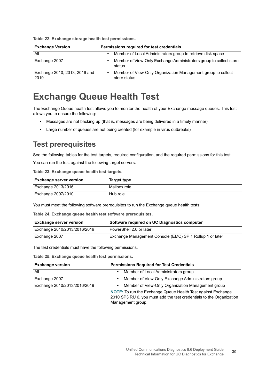**Table 22. Exchange storage health test permissions.**

| <b>Exchange Version</b>               | Permissions required for test credentials                                    |
|---------------------------------------|------------------------------------------------------------------------------|
| All                                   | Member of Local Administrators group to retrieve disk space                  |
| Exchange 2007                         | Member of View-Only Exchange Administrators group to collect store<br>status |
| Exchange 2010, 2013, 2016 and<br>2019 | Member of View-Only Organization Management group to collect<br>store status |

## <span id="page-29-0"></span>**Exchange Queue Health Test**

The Exchange Queue health test allows you to monitor the health of your Exchange message queues. This test allows you to ensure the following:

- **•** Messages are not backing up (that is, messages are being delivered in a timely manner)
- **•** Large number of queues are not being created (for example in virus outbreaks)

### **Test prerequisites**

See the following tables for the test targets, required configuration, and the required permissions for this test.

You can run the test against the following target servers.

**Table 23. Exchange queue health test targets.**

| <b>Exchange server version</b> | Target type  |
|--------------------------------|--------------|
| Exchange 2013/2016             | Mailbox role |
| Exchange 2007/2010             | Hub role     |

You must meet the following software prerequisites to run the Exchange queue health tests:

**Table 24. Exchange queue health test software prerequisites.**

| <b>Exchange server version</b> | Software required on UC Diagnostics computer             |
|--------------------------------|----------------------------------------------------------|
| Exchange 2010/2013/2016/2019   | PowerShell 2.0 or later                                  |
| Exchange 2007                  | Exchange Management Console (EMC) SP 1 Rollup 1 or later |

The test credentials must have the following permissions.

**Table 25. Exchange queue health test permissions.**

| <b>Exchange version</b>      | <b>Permissions Required for Test Credentials</b>                                                                                                                                                                                   |
|------------------------------|------------------------------------------------------------------------------------------------------------------------------------------------------------------------------------------------------------------------------------|
| All                          | Member of Local Administrators group<br>$\bullet$                                                                                                                                                                                  |
| Exchange 2007                | Member of View-Only Exchange Administrators group<br>$\bullet$                                                                                                                                                                     |
| Exchange 2010/2013/2016/2019 | Member of View-Only Organization Management group<br>$\bullet$<br><b>NOTE:</b> To run the Exchange Queue Health Test against Exchange<br>2010 SP3 RU 6, you must add the test credentials to the Organization<br>Management group. |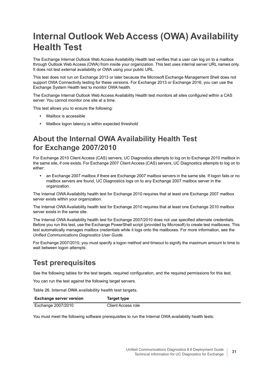## <span id="page-30-0"></span>**Internal Outlook Web Access (OWA) Availability Health Test**

The Exchange Internal Outlook Web Access Availability Health test verifies that a user can log on to a mailbox through Outlook Web Access (OWA) from inside your organization. This test uses internal server URL names only. It does not test external availability or OWA using your public URL.

This test does not run on Exchange 2013 or later because the Microsoft Exchange Management Shell does not support OWA Connectivity testing for these versions. For Exchange 2013 or Exchange 2016, you can use the Exchange System Health test to monitor OWA health.

The Exchange Internal Outlook Web Access Availability Health test monitors all sites configured within a CAS server. You cannot monitor one site at a time.

This test allows you to ensure the following:

- **•** Mailbox is accessible
- **•** Mailbox logon latency is within expected threshold

### **About the Internal OWA Availability Health Test for Exchange 2007/2010**

For Exchange 2010 Client Access (CAS) servers, UC Diagnostics attempts to log on to Exchange 2010 mailbox in the same site, if one exists. For Exchange 2007 Client Access (CAS) servers, UC Diagnostics attempts to log on to either:

**•** an Exchange 2007 mailbox if there are Exchange 2007 mailbox servers in the same site. If logon fails or no mailbox servers are found, UC Diagnostics logs on to any Exchange 2007 mailbox server in the organization.

The Internal OWA Availability health test for Exchange 2010 requires that at least one Exchange 2007 mailbox server exists within your organization.

The Internal OWA Availability health test for Exchange 2010 requires that at least one Exchange 2010 mailbox server exists in the same site.

The Internal OWA Availability health test for Exchange 2007/2010 does not use specified alternate credentials. Before you run this test, use the Exchange PowerShell script (provided by Microsoft) to create test mailboxes. This test automatically manages mailbox credentials while it logs onto the mailboxes. For more information, see the *Unified Communications Diagnostics User Guide.*

For Exchange 2007/2010, you must specify a logon method and timeout to signify the maximum amount to time to wait between logon attempts.

### **Test prerequisites**

See the following tables for the test targets, required configuration, and the required permissions for this test.

You can run the test against the following target servers.

**Table 26. Internal OWA availability health test targets.**

| <b>Exchange server version</b> | Target type        |
|--------------------------------|--------------------|
| Exchange 2007/2010             | Client Access role |

You must meet the following software prerequisites to run the Internal OWA availability health tests: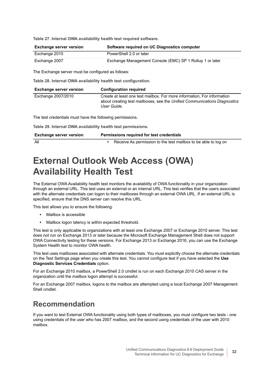**Table 27. Internal OWA availability health test required software.**

| Exchange server version | Software required on UC Diagnostics computer             |
|-------------------------|----------------------------------------------------------|
| Exchange 2010           | PowerShell 2.0 or later                                  |
| Exchange 2007           | Exchange Management Console (EMC) SP 1 Rollup 1 or later |

The Exchange server must be configured as follows:

**Table 28. Internal OWA availability health test configuration.**

| <b>Exchange server version</b>                               | <b>Configuration required</b>                                                                                                                                       |
|--------------------------------------------------------------|---------------------------------------------------------------------------------------------------------------------------------------------------------------------|
| Exchange 2007/2010                                           | Create at least one test mailbox. For more information, For information<br>about creating test mailboxes, see the Unified Communications Diagnostics<br>User Guide. |
| The test credentials must have the following permissions.    |                                                                                                                                                                     |
| Table 29. Internal OWA availability health test permissions. |                                                                                                                                                                     |
| <b>Exchange server version</b>                               | Permissions required for test credentials                                                                                                                           |
| All                                                          | Receive As permission to the test mailbox to be able to log on                                                                                                      |

## <span id="page-31-0"></span>**External Outlook Web Access (OWA) Availability Health Test**

The External OWA Availability health test monitors the availability of OWA functionality in your organization through an external URL. This test uses an external or an internal URL. This test verifies that the users associated with the alternate credentials can logon to their mailboxes through an external OWA URL. If an external URL is specified, ensure that the DNS server can resolve this URL.

This test allows you to ensure the following:

- **•** Mailbox is accessible
- **•** Mailbox logon latency is within expected threshold.

This test is only applicable to organizations with at least one Exchange 2007 or Exchange 2010 server. This test does not run on Exchange 2013 or later because the Microsoft Exchange Management Shell does not support OWA Connectivity testing for these versions. For Exchange 2013 or Exchange 2016, you can use the Exchange System Health test to monitor OWA health.

This test uses mailboxes associated with alternate credentials. You must explicitly choose the alternate credentials on the Test Settings page when you create this test. You cannot configure test if you have selected the **Use Diagnostic Services Credentials** option.

For an Exchange 2010 mailbox, a PowerShell 2.0 cmdlet is run on each Exchange 2010 CAS server in the organization until the mailbox logon attempt is successful.

For an Exchange 2007 mailbox, logons to the mailbox are attempted using a local Exchange 2007 Management Shell cmdlet.

### **Recommendation**

If you want to test External OWA functionality using both types of mailboxes, you must configure two tests - one using credentials of the user who has 2007 mailbox, and the second using credentials of the user with 2010 mailbox.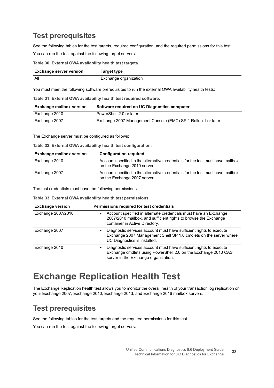### **Test prerequisites**

See the following tables for the test targets, required configuration, and the required permissions for this test. You can run the test against the following target servers.

**Table 30. External OWA availability health test targets.**

| <b>Exchange server version</b> | Target type           |
|--------------------------------|-----------------------|
| All                            | Exchange organization |

You must meet the following software prerequisites to run the external OWA availability health tests:

**Table 31. External OWA availability health test required software.**

| <b>Exchange mailbox version</b> | Software required on UC Diagnostics computer                  |
|---------------------------------|---------------------------------------------------------------|
| Exchange 2010                   | PowerShell 2.0 or later                                       |
| Exchange 2007                   | Exchange 2007 Management Console (EMC) SP 1 Rollup 1 or later |

The Exchange server must be configured as follows:

**Table 32. External OWA availability health test configuration.**

| <b>Exchange mailbox version</b> | <b>Configuration required</b>                                                                                   |
|---------------------------------|-----------------------------------------------------------------------------------------------------------------|
| Exchange 2010                   | Account specified in the alternative credentials for the test must have mailbox<br>on the Exchange 2010 server. |
| Exchange 2007                   | Account specified in the alternative credentials for the test must have mailbox<br>on the Exchange 2007 server. |

The test credentials must have the following permissions.

**Table 33. External OWA availability health test permissions.**

| <b>Exchange version</b> | Permissions required for test credentials                                                                                                                                         |
|-------------------------|-----------------------------------------------------------------------------------------------------------------------------------------------------------------------------------|
| Exchange 2007/2010      | Account specified in alternate credentials must have an Exchange<br>٠<br>2007/2010 mailbox, and sufficient rights to browse the Exchange<br>container in Active Directory.        |
| Exchange 2007           | Diagnostic services account must have sufficient rights to execute<br>٠<br>Exchange 2007 Management Shell SP 1.0 cmdlets on the server where<br>UC Diagnostics is installed.      |
| Exchange 2010           | Diagnostic services account must have sufficient rights to execute<br>٠<br>Exchange cmdlets using PowerShell 2.0 on the Exchange 2010 CAS<br>server in the Exchange organization. |

## <span id="page-32-0"></span>**Exchange Replication Health Test**

The Exchange Replication health test allows you to monitor the overall health of your transaction log replication on your Exchange 2007, Exchange 2010, Exchange 2013, and Exchange 2016 mailbox servers.

### **Test prerequisites**

See the following tables for the test targets and the required permissions for this test.

You can run the test against the following target servers.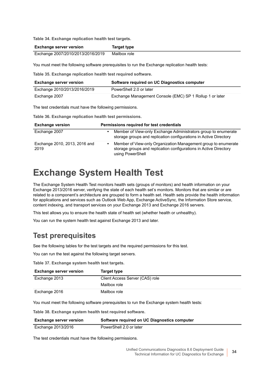**Table 34. Exchange replication health test targets.**

| <b>Exchange server version</b>    | Target type  |
|-----------------------------------|--------------|
| Exchange 2007/2010/2013/2016/2019 | Mailbox role |

You must meet the following software prerequisites to run the Exchange replication health tests:

**Table 35. Exchange replication health test required software.**

| <b>Exchange server version</b>                            | Software required on UC Diagnostics computer             |  |
|-----------------------------------------------------------|----------------------------------------------------------|--|
| Exchange 2010/2013/2016/2019                              | PowerShell 2.0 or later                                  |  |
| Exchange 2007                                             | Exchange Management Console (EMC) SP 1 Rollup 1 or later |  |
| The test credentials must have the following permissions. |                                                          |  |

**Table 36. Exchange replication health test permissions.**

| <b>Exchange version</b>               | Permissions required for test credentials                                                                                                               |
|---------------------------------------|---------------------------------------------------------------------------------------------------------------------------------------------------------|
| Exchange 2007                         | Member of View-only Exchange Administrators group to enumerate<br>storage groups and replication configurations in Active Directory                     |
| Exchange 2010, 2013, 2016 and<br>2019 | Member of View-only Organization Management group to enumerate<br>storage groups and replication configurations in Active Directory<br>using PowerShell |

## <span id="page-33-0"></span>**Exchange System Health Test**

The Exchange System Health Test monitors health sets (groups of monitors) and health information on your Exchange 2013/2016 server, verifying the state of each health set's monitors. Monitors that are similar or are related to a component's architecture are grouped to form a health set. Health sets provide the health information for applications and services such as Outlook Web App, Exchange ActiveSync, the Information Store service, content indexing, and transport services on your Exchange 2013 and Exchange 2016 servers.

This test allows you to ensure the health state of health set (whether health or unhealthy).

You can run the system health test against Exchange 2013 and later.

### **Test prerequisites**

See the following tables for the test targets and the required permissions for this test.

You can run the test against the following target servers.

**Table 37. Exchange system health test targets.**

| <b>Exchange server version</b> | Target type                     |
|--------------------------------|---------------------------------|
| Exchange 2013                  | Client Access Server (CAS) role |
|                                | Mailbox role                    |
| Exchange 2016                  | Mailbox role                    |

You must meet the following software prerequisites to run the Exchange system health tests:

**Table 38. Exchange system health test required software.**

| <b>Exchange server version</b> | Software required on UC Diagnostics computer |
|--------------------------------|----------------------------------------------|
| Exchange 2013/2016             | PowerShell 2.0 or later                      |

The test credentials must have the following permissions.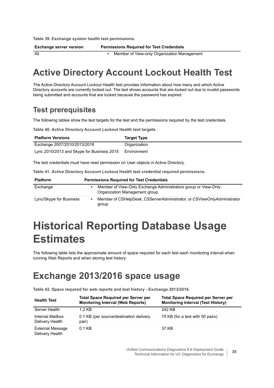**Table 39. Exchange system health test permissions.**

**Exchange server version Permissions Required for Test Credentials**

All **•** Member of View-only Organization Management

<span id="page-34-0"></span>**Active Directory Account Lockout Health Test**

The Active Directory Account Lockout Health test provides information about how many and which Active Directory accounts are currently locked out. The test shows accounts that are locked out due to invalid passwords being submitted and accounts that are locked because the password has expired.

### **Test prerequisites**

The following tables show the test targets for the test and the permissions required by the test credentials.

**Table 40. Active Directory Account Lockout Health test targets.**

| <b>Platform Versions</b>                   | <b>Target Type</b> |
|--------------------------------------------|--------------------|
| Exchange 2007/2010/2013/2016               | Organization       |
| Lync 2010/2013 and Skype for Business 2015 | Environment        |

The test credentials must have read permission on User objects in Active Directory.

**Table 41. Active Directory Account Lockout Health test credential required permissions.**

| <b>Platform</b>         | <b>Permissions Required for Test Credentials</b> |                                                                                                  |
|-------------------------|--------------------------------------------------|--------------------------------------------------------------------------------------------------|
| Exchange                |                                                  | Member of View-Only Exchange Administrators group or View-Only<br>Organization Management group. |
| Lync/Skype for Business |                                                  | Member of CSHelpDesk, CSServerAdministrator, or CSViewOnlyAdministrator<br>group                 |

# <span id="page-34-1"></span>**Historical Reporting Database Usage Estimates**

The following table lists the approximate amount of space required for each test each monitoring interval when running Web Reports and when storing test history:

## <span id="page-34-2"></span>**Exchange 2013/2016 space usage**

**Table 42. Space required for web reports and test history - Exchange 2013/2016.**

| <b>Health Test</b>                         | <b>Total Space Required per Server per</b><br><b>Monitoring Interval (Web Reports)</b> | <b>Total Space Required per Server per</b><br><b>Monitoring Interval (Test History)</b> |
|--------------------------------------------|----------------------------------------------------------------------------------------|-----------------------------------------------------------------------------------------|
| Server Health                              | 1.2 KB                                                                                 | 242 KB                                                                                  |
| Internal Mailbox<br>Delivery Health        | 0.1 KB (per source/destination delivery<br>pair)                                       | 75 KB (for a test with 50 pairs)                                                        |
| <b>External Message</b><br>Delivery Health | $0.1$ KB                                                                               | 37 KB                                                                                   |

Unified Communications Diagnostics 8.6 Deployment Guide Technical Information for UC Diagnostics for Exchange **<sup>35</sup>**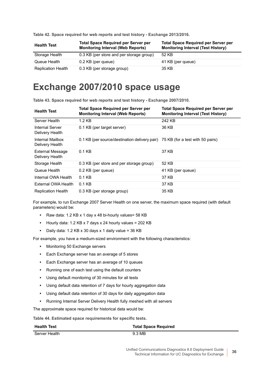| <b>Health Test</b>        | <b>Total Space Required per Server per</b><br><b>Monitoring Interval (Web Reports)</b> | <b>Total Space Required per Server per</b><br><b>Monitoring Interval (Test History)</b> |
|---------------------------|----------------------------------------------------------------------------------------|-----------------------------------------------------------------------------------------|
| Storage Health            | 0.3 KB (per store and per storage group)                                               | 52 KB                                                                                   |
| Queue Health              | 0.2 KB (per queue)                                                                     | 41 KB (per queue)                                                                       |
| <b>Replication Health</b> | 0.3 KB (per storage group)                                                             | 35 KB                                                                                   |

**Table 42. Space required for web reports and test history - Exchange 2013/2016.**

## <span id="page-35-0"></span>**Exchange 2007/2010 space usage**

**Table 43. Space required for web reports and test history - Exchange 2007/2010.**

| <b>Health Test</b>                  | <b>Total Space Required per Server per</b><br><b>Monitoring Interval (Web Reports)</b> | <b>Total Space Required per Server per</b><br><b>Monitoring Interval (Test History)</b> |
|-------------------------------------|----------------------------------------------------------------------------------------|-----------------------------------------------------------------------------------------|
| Server Health                       | $1.2$ KB                                                                               | 242 KB                                                                                  |
| Internal Server<br>Delivery Health  | 0.1 KB (per target server)                                                             | 36 KB                                                                                   |
| Internal Mailbox<br>Delivery Health | 0.1 KB (per source/destination delivery pair) 75 KB (for a test with 50 pairs)         |                                                                                         |
| External Message<br>Delivery Health | $0.1$ KB                                                                               | 37 KB                                                                                   |
| Storage Health                      | 0.3 KB (per store and per storage group)                                               | 52 KB                                                                                   |
| Queue Health                        | 0.2 KB (per queue)                                                                     | 41 KB (per queue)                                                                       |
| Internal OWA Health                 | $0.1$ KB                                                                               | 37 KB                                                                                   |
| External OWA Health                 | $0.1$ KB                                                                               | 37 KB                                                                                   |
| <b>Replication Health</b>           | 0.3 KB (per storage group)                                                             | 35 KB                                                                                   |

For example, to run Exchange 2007 Server Health on one server, the maximum space required (with default parameters) would be:

- **•** Raw data: 1.2 KB x 1 day x 48 bi-hourly values= 58 KB
- **•** Hourly data: 1.2 KB x 7 days x 24 hourly values = 202 KB
- **•** Daily data: 1.2 KB x 30 days x 1 daily value = 36 KB

For example, you have a medium-sized environment with the following characteristics:

- **•** Monitoring 50 Exchange servers
- **•** Each Exchange server has an average of 5 stores
- **•** Each Exchange server has an average of 10 queues
- **•** Running one of each test using the default counters
- **•** Using default monitoring of 30 minutes for all tests
- **•** Using default data retention of 7 days for hourly aggregation data
- **•** Using default data retention of 30 days for daily aggregation data
- **•** Running Internal Server Delivery Health fully meshed with all servers

The approximate space required for historical data would be:

**Table 44. Estimated space requirements for specific tests.**

| <b>Health Test</b> | <b>Total Space Required</b> |
|--------------------|-----------------------------|
| Server Health      | 9.3 MB                      |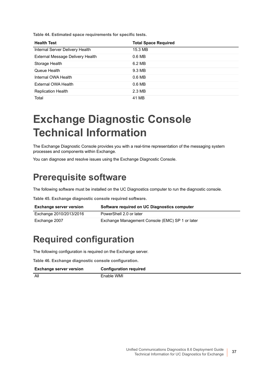**Table 44. Estimated space requirements for specific tests.**

| <b>Health Test</b>               | <b>Total Space Required</b> |
|----------------------------------|-----------------------------|
| Internal Server Delivery Health  | 15.3 MB                     |
| External Message Delivery Health | 0.6 <sub>MB</sub>           |
| Storage Health                   | 6.2 MB                      |
| Queue Health                     | 9.3 MB                      |
| Internal OWA Health              | 0.6 <sub>MB</sub>           |
| External OWA Health              | 0.6 <sub>MB</sub>           |
| <b>Replication Health</b>        | 2.3 MB                      |
| Total                            | 41 MB                       |

## **Exchange Diagnostic Console Technical Information**

The Exchange Diagnostic Console provides you with a real-time representation of the messaging system processes and components within Exchange.

You can diagnose and resolve issues using the Exchange Diagnostic Console.

### **Prerequisite software**

The following software must be installed on the UC Diagnostics computer to run the diagnostic console.

**Table 45. Exchange diagnostic console required software.**

| <b>Exchange server version</b> | Software required on UC Diagnostics computer    |
|--------------------------------|-------------------------------------------------|
| Exchange 2010/2013/2016        | PowerShell 2.0 or later                         |
| Exchange 2007                  | Exchange Management Console (EMC) SP 1 or later |

## **Required configuration**

The following configuration is required on the Exchange server.

**Table 46. Exchange diagnostic console configuration.**

| <b>Exchange server version</b> | <b>Configuration required</b> |
|--------------------------------|-------------------------------|
| All                            | Enable WMI                    |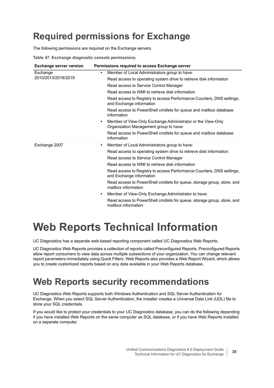## **Required permissions for Exchange**

The following permissions are required on the Exchange servers.

**Table 47. Exchange diagnostic console permissions.**

| <b>Exchange server version</b>  | Permissions required to access Exchange server                                                                     |
|---------------------------------|--------------------------------------------------------------------------------------------------------------------|
| Exchange<br>2010/2013/2016/2019 | Member of Local Administrators group to have:<br>$\bullet$                                                         |
|                                 | Read access to operating system drive to retrieve disk information                                                 |
|                                 | Read access to Service Control Manager                                                                             |
|                                 | Read access to WMI to retrieve disk information                                                                    |
|                                 | Read access to Registry to access Performance Counters, DNS settings,<br>and Exchange information                  |
|                                 | Read access to PowerShell cmdlets for queue and mailbox database<br>information                                    |
|                                 | Member of View-Only Exchange Administrator or the View-Only<br>$\bullet$<br>Organization Management group to have: |
|                                 | Read access to PowerShell cmdlets for queue and mailbox database<br>information                                    |
| Exchange 2007                   | Member of Local Administrators group to have:<br>$\bullet$                                                         |
|                                 | Read access to operating system drive to retrieve disk information                                                 |
|                                 | Read access to Service Control Manager                                                                             |
|                                 | Read access to WMI to retrieve disk information                                                                    |
|                                 | Read access to Registry to access Performance Counters, DNS settings,<br>and Exchange information                  |
|                                 | Read access to PowerShell cmdlets for queue, storage group, store, and<br>mailbox information                      |
|                                 | Member of View-Only Exchange Administrator to have:<br>$\bullet$                                                   |
|                                 | Read access to PowerShell cmdlets for queue, storage group, store, and<br>mailbox information                      |

# <span id="page-37-1"></span>**Web Reports Technical Information**

UC Diagnostics has a separate web-based reporting component called UC Diagnostics Web Reports.

UC Diagnostics Web Reports provides a collection of reports called Preconfigured Reports. Preconfigured Reports allow report consumers to view data across multiple subsections of your organization. You can change relevant report parameters immediately using Quick Filters. Web Reports also provides a Web Report Wizard, which allows you to create customized reports based on any data available in your Web Reports database.

### <span id="page-37-0"></span>**Web Reports security recommendations**

UC Diagnostics Web Reports supports both Windows Authentication and SQL Server Authentication for Exchange. When you select SQL Server Authentication, the installer creates a Universal Data Link (UDL) file to store your SQL credentials.

If you would like to protect your credentials to your UC Diagnostics database, you can do the following depending if you have installed Web Reports on the same computer as SQL database, or if you have Web Reports installed on a separate computer.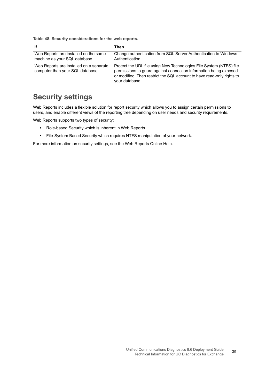**Table 48. Security considerations for the web reports.**

| lf.                                                                        | Then                                                                                                                                                                                                                                 |
|----------------------------------------------------------------------------|--------------------------------------------------------------------------------------------------------------------------------------------------------------------------------------------------------------------------------------|
| Web Reports are installed on the same<br>machine as your SQL database      | Change authentication from SQL Server Authentication to Windows<br>Authentication.                                                                                                                                                   |
| Web Reports are installed on a separate<br>computer than your SQL database | Protect the UDL file using New Technologies File System (NTFS) file<br>permissions to guard against connection information being exposed<br>or modified. Then restrict the SQL account to have read-only rights to<br>your database. |

### **Security settings**

Web Reports includes a flexible solution for report security which allows you to assign certain permissions to users, and enable different views of the reporting tree depending on user needs and security requirements.

Web Reports supports two types of security:

- **•** Role-based Security which is inherent in Web Reports.
- **•** File-System Based Security which requires NTFS manipulation of your network.

For more information on security settings, see the Web Reports Online Help.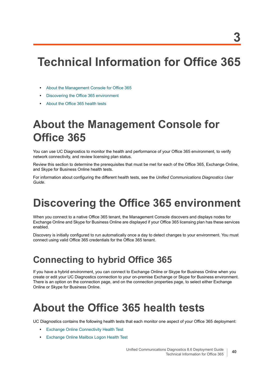# **Technical Information for Office 365**

- **•** [About the Management Console for Office 365](#page-39-0)
- **•** [Discovering the Office 365 environment](#page-39-1)
- **•** [About the Office 365 health tests](#page-39-2)

## <span id="page-39-0"></span>**About the Management Console for Office 365**

You can use UC Diagnostics to monitor the health and performance of your Office 365 environment, to verify network connectivity, and review licensing plan status.

Review this section to determine the prerequisites that must be met for each of the Office 365, Exchange Online, and Skype for Business Online health tests.

For information about configuring the different health tests, see the *Unified Communications Diagnostics User Guide*.

# <span id="page-39-1"></span>**Discovering the Office 365 environment**

When you connect to a native Office 365 tenant, the Management Console discovers and displays nodes for Exchange Online and Skype for Business Online are displayed if your Office 365 licensing plan has these services enabled.

Discovery is initially configured to run automatically once a day to detect changes to your environment. You must connect using valid Office 365 credentials for the Office 365 tenant.

## **Connecting to hybrid Office 365**

If you have a hybrid environment, you can connect to Exchange Online or Skype for Business Online when you create or edit your UC Diagnostics connection to your on-premise Exchange or Skype for Business environment. There is an option on the connection page, and on the connection properties page, to select either Exchange Online or Skype for Business Online.

# <span id="page-39-2"></span>**About the Office 365 health tests**

UC Diagnostics contains the following health tests that each monitor one aspect of your Office 365 deployment:

- **•** [Exchange Online Connectivity Health Test](#page-40-0)
- **•** [Exchange Online Mailbox Logon Health Test](#page-40-1)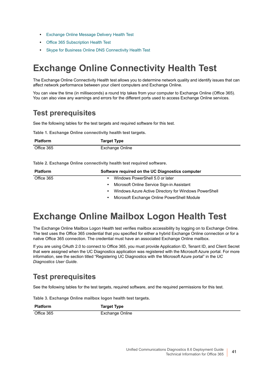- **•** [Exchange Online Message Delivery Health Test](#page-41-0)
- **•** [Office 365 Subscription Health Test](#page-42-0)
- **•** [Skype for Business Online DNS Connectivity Health Test](#page-43-0)

## <span id="page-40-0"></span>**Exchange Online Connectivity Health Test**

The Exchange Online Connectivity Health test allows you to determine network quality and identify issues that can affect network performance between your client computers and Exchange Online.

You can view the time (in milliseconds) a round trip takes from your computer to Exchange Online (Office 365). You can also view any warnings and errors for the different ports used to access Exchange Online services.

### **Test prerequisites**

See the following tables for the test targets and required software for this test.

**Table 1. Exchange Online connectivity health test targets.**

| <b>Platform</b> | <b>Target Type</b> |
|-----------------|--------------------|
| Office 365      | Exchange Online    |

**Table 2. Exchange Online connectivity health test required software.**

| <b>Platform</b> | Software required on the UC Diagnostics computer           |
|-----------------|------------------------------------------------------------|
| Office 365      | Windows PowerShell 5.0 or later                            |
|                 | Microsoft Online Service Sign-in Assistant<br>٠            |
|                 | Windows Azure Active Directory for Windows PowerShell<br>٠ |
|                 | Microsoft Exchange Online PowerShell Module<br>٠           |

## <span id="page-40-1"></span>**Exchange Online Mailbox Logon Health Test**

The Exchange Online Mailbox Logon Health test verifies mailbox accessibility by logging on to Exchange Online. The test uses the Office 365 credential that you specified for either a hybrid Exchange Online connection or for a native Office 365 connection. The credential must have an associated Exchange Online mailbox.

If you are using OAuth 2.0 to connect to Office 365, you must provide Application ID, Tenant ID, and Client Secret that were assigned when the UC Diagnostics application was registered with the Microsoft Azure portal. For more information, see the section titled "Registering UC Diagnostics with the Microsoft Azure portal" in the *UC Diagnostics User Guide*.

### **Test prerequisites**

See the following tables for the test targets, required software, and the required permissions for this test.

**Table 3. Exchange Online mailbox logon health test targets.**

| <b>Platform</b> |
|-----------------|
|-----------------|

Office 365 Exchange Online

**Target Type**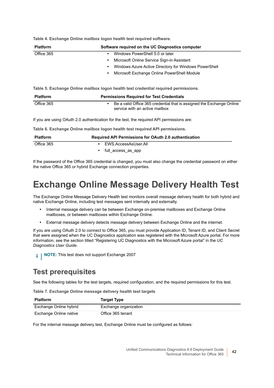**Table 4. Exchange Online mailbox logon health test required software.**

| <b>Platform</b> | Software required on the UC Diagnostics computer           |
|-----------------|------------------------------------------------------------|
| Office 365      | Windows PowerShell 5.0 or later                            |
|                 | Microsoft Online Service Sign-in Assistant<br>$\bullet$    |
|                 | Windows Azure Active Directory for Windows PowerShell<br>٠ |
|                 | Microsoft Exchange Online PowerShell Module                |

**Table 5. Exchange Online mailbox logon health test credential required permissions.**

| <b>Platform</b> | <b>Permissions Required for Test Credentials</b>                                                        |
|-----------------|---------------------------------------------------------------------------------------------------------|
| Office 365      | Be a valid Office 365 credential that is assigned the Exchange Online<br>service with an active mailbox |

If you are using OAuth 2.0 authentication for the test, the required API permissions are:

**Table 6. Exchange Online mailbox logon health test required API permissions.**

| <b>Platform</b> | <b>Required API Permissions for OAuth 2.0 authentication</b> |  |
|-----------------|--------------------------------------------------------------|--|
| Office 365      | EWS.AccessAsUser.All                                         |  |
|                 | full access as app                                           |  |

If the password of the Office 365 credential is changed, you must also change the credential password on either the native Office 365 or hybrid Exchange connection properties.

### <span id="page-41-0"></span>**Exchange Online Message Delivery Health Test**

The Exchange Online Message Delivery Health test monitors overall message delivery health for both hybrid and native Exchange Online, including test messages sent internally and externally.

- **•** Internal message delivery can be between Exchange on-premise mailboxes and Exchange Online mailboxes, or between mailboxes within Exchange Online.
- **•** External message delivery detects message delivery between Exchange Online and the internet.

If you are using OAuth 2.0 to connect to Office 365, you must provide Application ID, Tenant ID, and Client Secret that were assigned when the UC Diagnostics application was registered with the Microsoft Azure portal. For more information, see the section titled "Registering UC Diagnostics with the Microsoft Azure portal" in the *UC Diagnostics User Guide*.

**i** | NOTE: This test does not support Exchange 2007

### **Test prerequisites**

See the following tables for the test targets, required configuration, and the required permissions for this test.

**Table 7. Exchange Online message delivery health test targets**

| <b>Platform</b>        | <b>Target Type</b>    |
|------------------------|-----------------------|
| Exchange Online hybrid | Exchange organization |
| Exchange Online native | Office 365 tenant     |

For the internal message delivery test, Exchange Online must be configured as follows: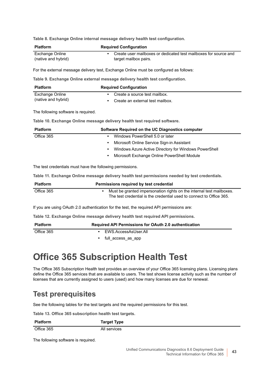**Table 8. Exchange Online internal message delivery health test configuration.**

| <b>Platform</b>                     | <b>Required Configuration</b>                                                                                                                |
|-------------------------------------|----------------------------------------------------------------------------------------------------------------------------------------------|
| <b>Exchange Online</b>              | Create user mailboxes or dedicated test mailboxes for source and                                                                             |
| (native and hybrid)                 | target mailbox pairs.                                                                                                                        |
|                                     | For the external message delivery test, Exchange Online must be configured as follows:                                                       |
|                                     | Table 9. Exchange Online external message delivery health test configuration.                                                                |
| <b>Platform</b>                     | <b>Required Configuration</b>                                                                                                                |
| <b>Exchange Online</b>              | Create a source test mailbox.                                                                                                                |
| (native and hybrid)                 | Create an external test mailbox.<br>$\bullet$                                                                                                |
| The following software is required. |                                                                                                                                              |
|                                     | Table 10. Exchange Online message delivery health test required software.                                                                    |
| <b>Platform</b>                     | Software Required on the UC Diagnostics computer                                                                                             |
| Office 365                          | Windows PowerShell 5.0 or later<br>$\bullet$                                                                                                 |
|                                     | Microsoft Online Service Sign-in Assistant<br>$\bullet$                                                                                      |
|                                     | Windows Azure Active Directory for Windows PowerShell<br>$\bullet$                                                                           |
|                                     | Microsoft Exchange Online PowerShell Module<br>٠                                                                                             |
|                                     | The test credentials must have the following permissions.                                                                                    |
|                                     | Table 11. Exchange Online message delivery health test permissions needed by test credentials.                                               |
| <b>Platform</b>                     | Permissions required by test credential                                                                                                      |
| Office 365                          | Must be granted impersonation rights on the internal test mailboxes.<br>The test credential is the credential used to connect to Office 365. |
|                                     | If you are using OAuth 2.0 authentication for the test, the required API permissions are:                                                    |
|                                     | Table 12. Exchange Online message delivery health test required API permissions.                                                             |
|                                     |                                                                                                                                              |

| <b>Platform</b> | Required API Permissions for OAuth 2.0 authentication |  |
|-----------------|-------------------------------------------------------|--|
| Office 365      | EWS.AccessAsUser.All                                  |  |
|                 | full access as app                                    |  |

### <span id="page-42-0"></span>**Office 365 Subscription Health Test**

The Office 365 Subscription Health test provides an overview of your Office 365 licensing plans. Licensing plans define the Office 365 services that are available to users. The test shows license activity such as the number of licenses that are currently assigned to users (used) and how many licenses are due for renewal.

### **Test prerequisites**

See the following tables for the test targets and the required permissions for this test.

**Table 13. Office 365 subscription health test targets.**

| <b>Platform</b> | <b>Target Type</b> |
|-----------------|--------------------|
|                 |                    |

Office 365 All services

The following software is required.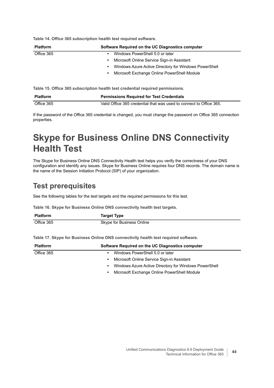**Table 14. Office 365 subscription health test required software.**

| <b>Platform</b> | Software Required on the UC Diagnostics computer                   |
|-----------------|--------------------------------------------------------------------|
| Office 365      | Windows PowerShell 5.0 or later<br>$\bullet$                       |
|                 | Microsoft Online Service Sign-in Assistant<br>$\bullet$            |
|                 | Windows Azure Active Directory for Windows PowerShell<br>$\bullet$ |
|                 | Microsoft Exchange Online PowerShell Module<br>$\bullet$           |
|                 |                                                                    |

**Table 15. Office 365 subscription health test credential required permissions.**

| <b>Platform</b> | <b>Permissions Required for Test Credentials</b>                    |
|-----------------|---------------------------------------------------------------------|
| Office 365      | Valid Office 365 credential that was used to connect to Office 365. |

If the password of the Office 365 credential is changed, you must change the password on Office 365 connection properties.

## <span id="page-43-0"></span>**Skype for Business Online DNS Connectivity Health Test**

The Skype for Business Online DNS Connectivity Health test helps you verify the correctness of your DNS configuration and identify any issues. Skype for Business Online requires four DNS records. The domain name is the name of the Session Initiation Protocol (SIP) of your organization.

### **Test prerequisites**

See the following tables for the test targets and the required permissions for this test.

**Table 16. Skype for Business Online DNS connectivity health test targets.**

| <b>Platform</b> | <b>Target Type</b>        |
|-----------------|---------------------------|
| Office 365      | Skype for Business Online |

**Table 17. Skype for Business Online DNS connectivity health test required software.**

| <b>Platform</b> | Software Required on the UC Diagnostics computer           |
|-----------------|------------------------------------------------------------|
| Office 365      | Windows PowerShell 5.0 or later                            |
|                 | Microsoft Online Service Sign-in Assistant                 |
|                 | Windows Azure Active Directory for Windows PowerShell<br>٠ |
|                 | Microsoft Exchange Online PowerShell Module<br>٠           |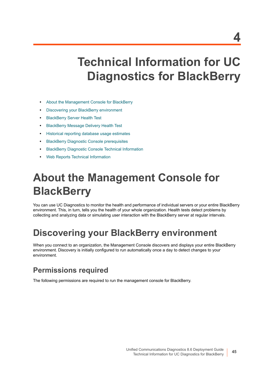# **Technical Information for UC Diagnostics for BlackBerry**

- **•** [About the Management Console for BlackBerry](#page-44-0)
- **•** [Discovering your BlackBerry environment](#page-44-1)
- **•** [BlackBerry Server Health Test](#page-45-0)
- **•** [BlackBerry Message Delivery Health Test](#page-46-0)
- **•** [Historical reporting database usage estimates](#page-47-0)
- **•** [BlackBerry Diagnostic Console prerequisites](#page-48-1)
- **•** [BlackBerry Diagnostic Console Technical Information](#page-48-0)
- **•** [Web Reports Technical Information](#page-49-0)

# <span id="page-44-0"></span>**About the Management Console for BlackBerry**

You can use UC Diagnostics to monitor the health and performance of individual servers or your entire BlackBerry environment. This, in turn, tells you the health of your whole organization. Health tests detect problems by collecting and analyzing data or simulating user interaction with the BlackBerry server at regular intervals.

### <span id="page-44-1"></span>**Discovering your BlackBerry environment**

When you connect to an organization, the Management Console discovers and displays your entire BlackBerry environment. Discovery is initially configured to run automatically once a day to detect changes to your environment.

### **Permissions required**

The following permissions are required to run the management console for BlackBerry.

**4**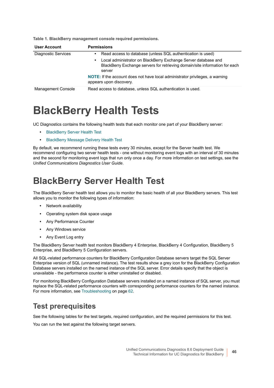| <b>User Account</b>        | <b>Permissions</b>                                                                                                                                           |
|----------------------------|--------------------------------------------------------------------------------------------------------------------------------------------------------------|
| <b>Diagnostic Services</b> | Read access to database (unless SQL authentication is used)                                                                                                  |
|                            | Local administrator on BlackBerry Exchange Server database and<br>٠<br>BlackBerry Exchange servers for retrieving domain/site information for each<br>server |
|                            | NOTE: If the account does not have local administrator privileges, a warning<br>appears upon discovery.                                                      |
| <b>Management Console</b>  | Read access to database, unless SQL authentication is used.                                                                                                  |

**Table 1. BlackBerry management console required permissions.**

## **BlackBerry Health Tests**

UC Diagnostics contains the following health tests that each monitor one part of your BlackBerry server:

- **•** [BlackBerry Server Health Test](#page-45-0)
- **•** [BlackBerry Message Delivery Health Test](#page-46-0)

By default, we recommend running these tests every 30 minutes, except for the Server health test. We recommend configuring two server health tests - one without monitoring event logs with an interval of 30 minutes and the second for monitoring event logs that run only once a day. For more information on test settings, see the *Unified Communications Diagnostics User Guide*.

### <span id="page-45-0"></span>**BlackBerry Server Health Test**

The BlackBerry Server health test allows you to monitor the basic health of all your BlackBerry servers. This test allows you to monitor the following types of information:

- **•** Network availability
- **•** Operating system disk space usage
- **•** Any Performance Counter
- **•** Any Windows service
- **•** Any Event Log entry

The BlackBerry Server health test monitors BlackBerry 4 Enterprise, BlackBerry 4 Configuration, BlackBerry 5 Enterprise, and BlackBerry 5 Configuration servers.

All SQL-related performance counters for BlackBerry Configuration Database servers target the SQL Server Enterprise version of SQL (unnamed instance). The test results show a grey icon for the BlackBerry Configuration Database servers installed on the named instance of the SQL server. Error details specify that the object is unavailable - the performance counter is either uninstalled or disabled.

For monitoring BlackBerry Configuration Database servers installed on a named instance of SQL server, you must replace the SQL-related performance counters with corresponding performance counters for the named instance. For more information, see [Troubleshooting on page 62.](#page-61-0)

### **Test prerequisites**

See the following tables for the test targets, required configuration, and the required permissions for this test.

You can run the test against the following target servers.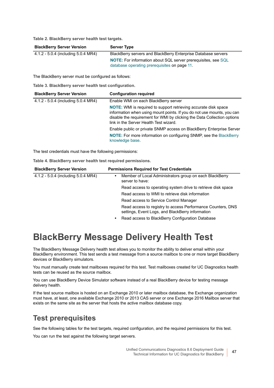**Table 2. BlackBerry server health test targets.**

| <b>BlackBerry Server Version</b>    | <b>Server Type</b>                                                   |
|-------------------------------------|----------------------------------------------------------------------|
| 4.1.2 - 5.0.4 (including 5.0.4 MR4) | BlackBerry servers and BlackBerry Enterprise Database servers        |
|                                     | <b>NOTE:</b> For information about SQL server prerequisites, see SQL |
|                                     | database operating prerequisites on page 11.                         |

The BlackBerry server must be configured as follows:

**Table 3. BlackBerry server health test configuration.**

| <b>BlackBerry Server Version</b>    | <b>Configuration required</b>                                                                                                                                                                                                                                         |
|-------------------------------------|-----------------------------------------------------------------------------------------------------------------------------------------------------------------------------------------------------------------------------------------------------------------------|
| 4.1.2 - 5.0.4 (including 5.0.4 MR4) | Enable WMI on each BlackBerry server                                                                                                                                                                                                                                  |
|                                     | <b>NOTE:</b> WMI is required to support retrieving accurate disk space<br>information when using mount points. If you do not use mounts, you can<br>disable the requirement for WMI by clicking the Data Collection options<br>link in the Server Health Test wizard. |
|                                     | Enable public or private SNMP access on BlackBerry Enterprise Server                                                                                                                                                                                                  |
|                                     | <b>NOTE:</b> For more information on configuring SNMP, see the BlackBerry<br>knowledge base.                                                                                                                                                                          |

The test credentials must have the following permissions:

**Table 4. BlackBerry server health test required permissions.**

| <b>BlackBerry Server Version</b>    | <b>Permissions Required for Test Credentials</b>                                                                |
|-------------------------------------|-----------------------------------------------------------------------------------------------------------------|
| 4.1.2 - 5.0.4 (including 5.0.4 MR4) | Member of Local Administrators group on each BlackBerry<br>server to have:                                      |
|                                     | Read access to operating system drive to retrieve disk space                                                    |
|                                     | Read access to WMI to retrieve disk information                                                                 |
|                                     | Read access to Service Control Manager                                                                          |
|                                     | Read access to registry to access Performance Counters, DNS<br>settings, Event Logs, and BlackBerry information |
|                                     | Read access to BlackBerry Configuration Database                                                                |

### <span id="page-46-0"></span>**BlackBerry Message Delivery Health Test**

The BlackBerry Message Delivery health test allows you to monitor the ability to deliver email within your BlackBerry environment. This test sends a test message from a source mailbox to one or more target BlackBerry devices or BlackBerry simulators.

You must manually create test mailboxes required for this test. Test mailboxes created for UC Diagnostics health tests can be reused as the source mailbox.

You can use BlackBerry Device Simulator software instead of a real BlackBerry device for testing message delivery health.

If the test source mailbox is hosted on an Exchange 2010 or later mailbox database, the Exchange organization must have, at least, one available Exchange 2010 or 2013 CAS server or one Exchange 2016 Mailbox server that exists on the same site as the server that hosts the active mailbox database copy.

### **Test prerequisites**

See the following tables for the test targets, required configuration, and the required permissions for this test.

You can run the test against the following target servers.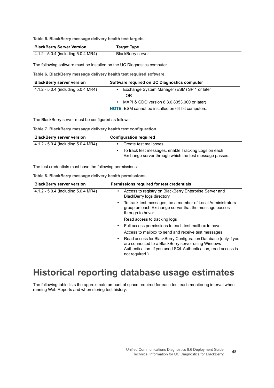**Table 5. BlackBerry message delivery health test targets.**

| <b>BlackBerry Server Version</b>    | <b>Target Type</b>       |
|-------------------------------------|--------------------------|
| 4.1.2 - 5.0.4 (including 5.0.4 MR4) | <b>BlackBerry server</b> |

The following software must be installed on the UC Diagnostics computer.

**Table 6. BlackBerry message delivery health test required software.**

| <b>BlackBerry server version</b>    | Software required on UC Diagnostics computer              |
|-------------------------------------|-----------------------------------------------------------|
| 4.1.2 - 5.0.4 (including 5.0.4 MR4) | Exchange System Manager (ESM) SP 1 or later               |
|                                     | $-OR -$                                                   |
|                                     | MAPI & CDO version 8.3.0.8353.000 or later)<br>$\bullet$  |
|                                     | <b>NOTE:</b> ESM cannot be installed on 64-bit computers. |

The BlackBerry server must be configured as follows:

**Table 7. BlackBerry message delivery health test configuration.**

| <b>BlackBerry server version</b>    | <b>Configuration required</b>                                                                                  |  |
|-------------------------------------|----------------------------------------------------------------------------------------------------------------|--|
| 4.1.2 - 5.0.4 (including 5.0.4 MR4) | Create test mailboxes.                                                                                         |  |
|                                     | To track test messages, enable Tracking Logs on each<br>Exchange server through which the test message passes. |  |

The test credentials must have the following permissions:

**Table 8. BlackBerry message delivery health permissions.**

| <b>BlackBerry server version</b>    | Permissions required for test credentials                                                                                                                                                                     |
|-------------------------------------|---------------------------------------------------------------------------------------------------------------------------------------------------------------------------------------------------------------|
| 4.1.2 - 5.0.4 (including 5.0.4 MR4) | Access to registry on BlackBerry Enterprise Server and<br>٠<br>BlackBerry logs directory                                                                                                                      |
|                                     | To track test messages, be a member of Local Administrators<br>٠<br>group on each Exchange server that the message passes<br>through to have:                                                                 |
|                                     | Read access to tracking logs                                                                                                                                                                                  |
|                                     | Full access permissions to each test mailbox to have:<br>٠                                                                                                                                                    |
|                                     | Access to mailbox to send and receive test messages                                                                                                                                                           |
|                                     | Read access for BlackBerry Configuration Database (only if you<br>٠<br>are connected to a BlackBerry server using Windows<br>Authentication. If you used SQL Authentication, read access is<br>not required.) |
|                                     |                                                                                                                                                                                                               |

### <span id="page-47-0"></span>**Historical reporting database usage estimates**

The following table lists the approximate amount of space required for each test each monitoring interval when running Web Reports and when storing test history: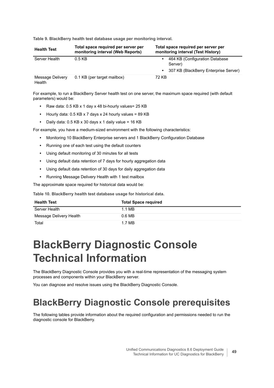**Table 9. BlackBerry health test database usage per monitoring interval.**

| <b>Health Test</b>         | Total space required per server per<br>monitoring interval (Web Reports) | Total space required per server per<br>monitoring interval (Test History)                        |
|----------------------------|--------------------------------------------------------------------------|--------------------------------------------------------------------------------------------------|
| Server Health              | $0.5$ KB                                                                 | 464 KB (Configuration Database)<br>Server)<br>307 KB (BlackBerry Enterprise Server)<br>$\bullet$ |
| Message Delivery<br>Health | 0.1 KB (per target mailbox)                                              | 72 KB                                                                                            |

For example, to run a BlackBerry Server health test on one server, the maximum space required (with default parameters) would be:

- **•** Raw data: 0.5 KB x 1 day x 48 bi-hourly values= 25 KB
- **•** Hourly data: 0.5 KB x 7 days x 24 hourly values = 89 KB
- **•** Daily data: 0.5 KB x 30 days x 1 daily value = 16 KB

For example, you have a medium-sized environment with the following characteristics:

- **•** Monitoring 10 BlackBerry Enterprise servers and 1 BlackBerry Configuration Database
- **•** Running one of each test using the default counters
- **•** Using default monitoring of 30 minutes for all tests
- **•** Using default data retention of 7 days for hourly aggregation data
- **•** Using default data retention of 30 days for daily aggregation data
- **•** Running Message Delivery Health with 1 test mailbox

The approximate space required for historical data would be:

**Table 10. BlackBerry health test database usage for historical data.**

| <b>Health Test</b>      | <b>Total Space required</b> |
|-------------------------|-----------------------------|
| Server Health           | 1.1 MB                      |
| Message Delivery Health | 0.6 <sub>MB</sub>           |
| Total                   | 1.7 MB                      |

# <span id="page-48-0"></span>**BlackBerry Diagnostic Console Technical Information**

The BlackBerry Diagnostic Console provides you with a real-time representation of the messaging system processes and components within your BlackBerry server.

You can diagnose and resolve issues using the BlackBerry Diagnostic Console.

### <span id="page-48-1"></span>**BlackBerry Diagnostic Console prerequisites**

The following tables provide information about the required configuration and permissions needed to run the diagnostic console for BlackBerry.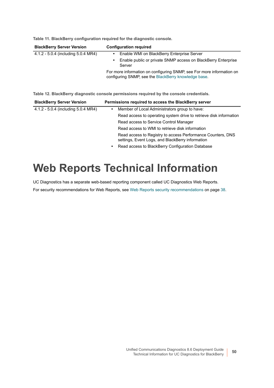| <b>BlackBerry Server Version</b>    | <b>Configuration required</b>                                                                                                 |
|-------------------------------------|-------------------------------------------------------------------------------------------------------------------------------|
| 4.1.2 - 5.0.4 (including 5.0.4 MR4) | Enable WMI on BlackBerry Enterprise Server<br>$\bullet$                                                                       |
|                                     | Enable public or private SNMP access on BlackBerry Enterprise<br>Server                                                       |
|                                     | For more information on configuring SNMP, see For more information on<br>configuring SNMP, see the BlackBerry knowledge base. |

**Table 11. BlackBerry configuration required for the diagnostic console.**

**Table 12. BlackBerry diagnostic console permissions required by the console credentials.**

| <b>BlackBerry Server Version</b>    | Permissions required to access the BlackBerry server                                                            |
|-------------------------------------|-----------------------------------------------------------------------------------------------------------------|
| 4.1.2 - 5.0.4 (including 5.0.4 MR4) | Member of Local Administrators group to have:<br>٠                                                              |
|                                     | Read access to operating system drive to retrieve disk information                                              |
|                                     | Read access to Service Control Manager                                                                          |
|                                     | Read access to WMI to retrieve disk information                                                                 |
|                                     | Read access to Registry to access Performance Counters, DNS<br>settings, Event Logs, and BlackBerry information |
|                                     | Read access to BlackBerry Configuration Database<br>٠                                                           |

# <span id="page-49-0"></span>**Web Reports Technical Information**

UC Diagnostics has a separate web-based reporting component called UC Diagnostics Web Reports.

For security recommendations for Web Reports, see [Web Reports security recommendations on page 38.](#page-37-0)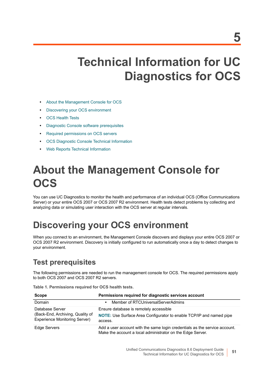# **Technical Information for UC Diagnostics for OCS**

- **•** [About the Management Console for OCS](#page-50-0)
- **•** [Discovering your OCS environment](#page-50-1)
- **•** [OCS Health Tests](#page-51-0)
- **•** [Diagnostic Console software prerequisites](#page-52-1)
- **•** [Required permissions on OCS servers](#page-52-2)
- **•** [OCS Diagnostic Console Technical Information](#page-52-0)
- **•** [Web Reports Technical Information](#page-53-0)

# <span id="page-50-0"></span>**About the Management Console for OCS**

You can use UC Diagnostics to monitor the health and performance of an individual OCS (Office Communications Server) or your entire OCS 2007 or OCS 2007 R2 environment. Health tests detect problems by collecting and analyzing data or simulating user interaction with the OCS server at regular intervals.

## <span id="page-50-1"></span>**Discovering your OCS environment**

When you connect to an environment, the Management Console discovers and displays your entire OCS 2007 or OCS 2007 R2 environment. Discovery is initially configured to run automatically once a day to detect changes to your environment.

### **Test prerequisites**

The following permissions are needed to run the management console for OCS. The required permissions apply to both OCS 2007 and OCS 2007 R2 servers.

**Table 1. Permissions required for OCS health tests.**

| <b>Scope</b>                                                                                | Permissions required for diagnostic services account                                                                                     |
|---------------------------------------------------------------------------------------------|------------------------------------------------------------------------------------------------------------------------------------------|
| Domain                                                                                      | Member of RTCUniversalServerAdmins<br>٠                                                                                                  |
| Database Server<br>(Back-End, Archiving, Quality of<br><b>Experience Monitoring Server)</b> | Ensure database is remotely accessible<br>NOTE: Use Surface Area Configurator to enable TCP/IP and named pipe<br>access.                 |
| <b>Edge Servers</b>                                                                         | Add a user account with the same login credentials as the service account.<br>Make the account a local administrator on the Edge Server. |

**5**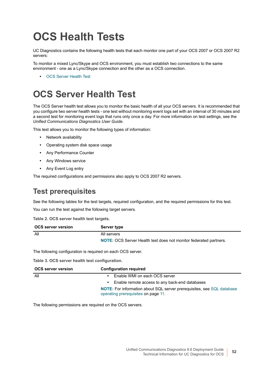# <span id="page-51-0"></span>**OCS Health Tests**

UC Diagnostics contains the following health tests that each monitor one part of your OCS 2007 or OCS 2007 R2 servers:

To monitor a mixed Lync/Skype and OCS environment, you must establish two connections to the same environment - one as a Lync/Skype connection and the other as a OCS connection.

**•** [OCS Server Health Test](#page-51-1)

## <span id="page-51-1"></span>**OCS Server Health Test**

The OCS Server health test allows you to monitor the basic health of all your OCS servers. It is recommended that you configure two server health tests - one test without monitoring event logs set with an interval of 30 minutes and a second test for monitoring event logs that runs only once a day. For more information on test settings, see the *Unified Communications Diagnostics User Guide*.

This test allows you to monitor the following types of information:

- **•** Network availability
- **•** Operating system disk space usage
- **•** Any Performance Counter
- **•** Any Windows service
- **•** Any Event Log entry

The required configurations and permissions also apply to OCS 2007 R2 servers.

### **Test prerequisites**

See the following tables for the test targets, required configuration, and the required permissions for this test.

You can run the test against the following target servers.

**Table 2. OCS server health test targets.**

| <b>OCS server version</b> | Server type                                                              |
|---------------------------|--------------------------------------------------------------------------|
| All                       | All servers                                                              |
|                           | <b>NOTE:</b> OCS Server Health test does not monitor federated partners. |

The following configuration is required on each OCS server.

**Table 3. OCS server health test configuration.**

| <b>OCS server version</b> | <b>Configuration required</b>                                                                                        |
|---------------------------|----------------------------------------------------------------------------------------------------------------------|
| All                       | Enable WMI on each OCS server                                                                                        |
|                           | Enable remote access to any back-end databases                                                                       |
|                           | <b>NOTE:</b> For information about SQL server prerequisites, see SQL database<br>operating prerequisites on page 11. |

The following permissions are required on the OCS servers.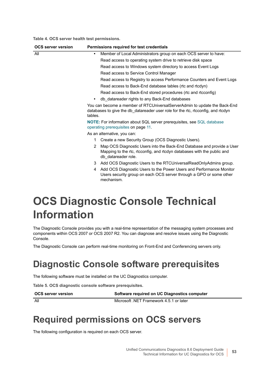**Table 4. OCS server health test permissions.**

| <b>OCS server version</b> | Permissions required for test credentials                                                                                                                                     |
|---------------------------|-------------------------------------------------------------------------------------------------------------------------------------------------------------------------------|
| All                       | Member of Local Administrators group on each OCS server to have:<br>$\bullet$                                                                                                 |
|                           | Read access to operating system drive to retrieve disk space                                                                                                                  |
|                           | Read access to Windows system directory to access Event Logs                                                                                                                  |
|                           | Read access to Service Control Manager                                                                                                                                        |
|                           | Read access to Registry to access Performance Counters and Event Logs                                                                                                         |
|                           | Read access to Back-End database tables (rtc and rtcdyn)                                                                                                                      |
|                           | Read access to Back-End stored procedures (rtc and rtcconfig)                                                                                                                 |
|                           | db datareader rights to any Back-End databases<br>$\bullet$                                                                                                                   |
|                           | You can become a member of RTCUniversalServerAdmin to update the Back-End<br>databases to give the db_datareader user role for the rtc, rtcconfig, and rtcdyn<br>tables.      |
|                           | <b>NOTE:</b> For information about SQL server prerequisites, see SQL database<br>operating prerequisites on page 11.                                                          |
|                           | As an alternative, you can:                                                                                                                                                   |
|                           | Create a new Security Group (OCS Diagnostic Users).<br>1                                                                                                                      |
|                           | Map OCS Diagnostic Users into the Back-End Database and provide a User<br>2<br>Mapping to the rtc, rtcconfig, and rtcdyn databases with the public and<br>db datareader role. |
|                           | Add OCS Diagnostic Users to the RTCUniversalReadOnlyAdmins group.<br>3                                                                                                        |
|                           | Add OCS Diagnostic Users to the Power Users and Performance Monitor<br>4<br>Users security group on each OCS server through a GPO or some other<br>mechanism.                 |
|                           |                                                                                                                                                                               |

## <span id="page-52-0"></span>**OCS Diagnostic Console Technical Information**

The Diagnostic Console provides you with a real-time representation of the messaging system processes and components within OCS 2007 or OCS 2007 R2. You can diagnose and resolve issues using the Diagnostic Console.

The Diagnostic Console can perform real-time monitoring on Front-End and Conferencing servers only.

### <span id="page-52-1"></span>**Diagnostic Console software prerequisites**

The following software must be installed on the UC Diagnostics computer.

**Table 5. OCS diagnostic console software prerequisites.**

**OCS server version Software required on UC Diagnostics computer** All Microsoft .NET Framework 4.5.1 or later

# <span id="page-52-2"></span>**Required permissions on OCS servers**

The following configuration is required on each OCS server.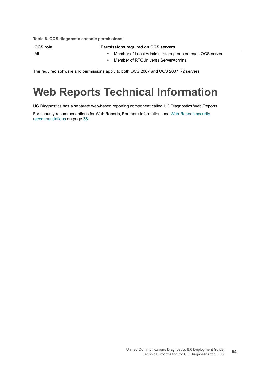**Table 6. OCS diagnostic console permissions.**

| OCS role | <b>Permissions required on OCS servers</b>              |  |
|----------|---------------------------------------------------------|--|
| All      | Member of Local Administrators group on each OCS server |  |
|          | Member of RTCUniversalServerAdmins                      |  |

The required software and permissions apply to both OCS 2007 and OCS 2007 R2 servers.

## <span id="page-53-0"></span>**Web Reports Technical Information**

UC Diagnostics has a separate web-based reporting component called UC Diagnostics Web Reports.

For security recommendations for Web Reports, [For more information, see Web Reports security](#page-37-0)  [recommendations on page 38.](#page-37-0)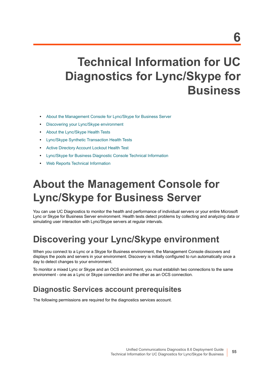# **Technical Information for UC Diagnostics for Lync/Skype for Business**

- **•** [About the Management Console for Lync/Skype for Business Server](#page-54-1)
- **•** [Discovering your Lync/Skype environment](#page-54-0)
- **•** [About the Lync/Skype Health Tests](#page-55-0)
- **•** [Lync/Skype Synthetic Transaction Health Tests](#page-56-0)
- **•** [Active Directory Account Lockout Health Test](#page-59-1)
- **•** [Lync/Skype for Business Diagnostic Console Technical Information](#page-59-0)
- **•** [Web Reports Technical Information](#page-60-0)

# <span id="page-54-1"></span>**About the Management Console for Lync/Skype for Business Server**

You can use UC Diagnostics to monitor the health and performance of individual servers or your entire Microsoft Lync or Skype for Business Server environment. Health tests detect problems by collecting and analyzing data or simulating user interaction with Lync/Skype servers at regular intervals.

## <span id="page-54-0"></span>**Discovering your Lync/Skype environment**

When you connect to a Lync or a Skype for Business environment, the Management Console discovers and displays the pools and servers in your environment. Discovery is initially configured to run automatically once a day to detect changes to your environment.

To monitor a mixed Lync or Skype and an OCS environment, you must establish two connections to the same environment - one as a Lync or Skype connection and the other as an OCS connection.

### **Diagnostic Services account prerequisites**

The following permissions are required for the diagnostics services account.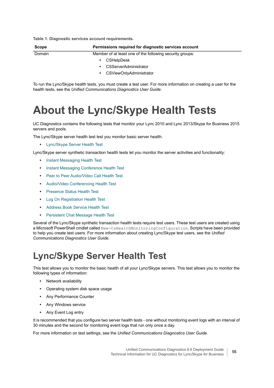**Table 1. Diagnostic services account requirements.**

| <b>Scope</b> | Permissions required for diagnostic services account     |  |
|--------------|----------------------------------------------------------|--|
| Domain       | Member of at least one of the following security groups: |  |
|              | <b>CSHelpDesk</b><br>٠                                   |  |
|              | <b>CSServerAdministrator</b><br>٠                        |  |
|              | CSViewOnlyAdministrator<br>٠                             |  |

To run the Lync/Skype health tests, you must create a test user. For more information on creating a user for the health tests, see the *Unified Communications Diagnostics User Guide*.

## <span id="page-55-0"></span>**About the Lync/Skype Health Tests**

UC Diagnostics contains the following tests that monitor your Lync 2010 and Lync 2013/Skype for Business 2015 servers and pools.

The Lync/Skype server health test lest you monitor basic server health.

**•** [Lync/Skype Server Health Test](#page-55-1)

Lync/Skype server synthetic transaction health tests let you monitor the server activities and functionality:

- **•** [Instant Messaging Health Test](#page-57-0)
- **•** [Instant Messaging Conference Health Test](#page-57-1)
- **•** [Peer to Peer Audio/Video Call Health Test](#page-57-2)
- **•** [Audio/Video Conferencing Health Test](#page-58-0)
- **•** [Presence Status Health Test](#page-58-1)
- **•** [Log On Registration Health Test](#page-58-2)
- **•** [Address Book Service Health Test](#page-58-3)
- **•** [Persistent Chat Message Health Test](#page-58-4)

Several of the Lync/Skype synthetic transaction health tests require test users. These test users are created using a Microsoft PowerShell cmdlet called New-CsHealthMonitoringConfiguration. Scripts have been provided to help you create test users. For more information about creating Lync/Skype test users, see the *Unified Communications Diagnostics User Guide.*

### <span id="page-55-1"></span>**Lync/Skype Server Health Test**

This test allows you to monitor the basic health of all your Lync/Skype servers. This test allows you to monitor the following types of information:

- **•** Network availability
- **•** Operating system disk space usage
- **•** Any Performance Counter
- **•** Any Windows service
- **•** Any Event Log entry

It is recommended that you configure two server health tests - one without monitoring event logs with an interval of 30 minutes and the second for monitoring event logs that run only once a day.

For more information on test settings, see the *Unified Communications Diagnostics User Guide*.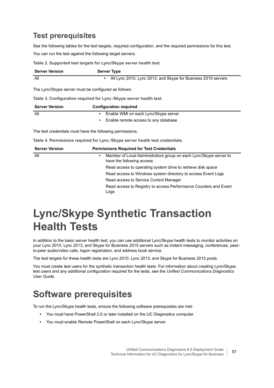### **Test prerequisites**

See the following tables for the test targets, required configuration, and the required permissions for this test. You can run the test against the following target servers.

**Table 2. Supported test targets for Lync/Skype server health test.**

| <b>Server Version</b>                                | <b>Server Type</b>                                              |
|------------------------------------------------------|-----------------------------------------------------------------|
| All                                                  | • All Lync 2010, Lync 2013, and Skype for Business 2015 servers |
| The Lync/Skype server must be configured as follows: |                                                                 |

**Table 3. Configuration required for Lync /Skype server health test.**

| <b>Server Version</b> | <b>Configuration required</b>        |
|-----------------------|--------------------------------------|
| All                   | Enable WMI on each Lync/Skype server |
|                       | Enable remote access to any database |

The test credentials must have the following permissions.

**Table 4. Permissions required for Lync /Skype server health test credentials.**

| <b>Server Version</b> | <b>Permissions Required for Test Credentials</b>                                                             |  |  |
|-----------------------|--------------------------------------------------------------------------------------------------------------|--|--|
| All                   | Member of Local Administrators group on each Lync/Skype server to<br>$\bullet$<br>have the following access: |  |  |
|                       | Read access to operating system drive to retrieve disk space                                                 |  |  |
|                       | Read access to Windows system directory to access Event Logs                                                 |  |  |
|                       | Read access to Service Control Manager                                                                       |  |  |
|                       | Read access to Registry to access Performance Counters and Event<br>Logs                                     |  |  |

## <span id="page-56-0"></span>**Lync/Skype Synthetic Transaction Health Tests**

In addition to the basic server health test, you can use additional Lync/Skype health tests to monitor activities on your Lync 2010, Lync 2013, and Skype for Business 2015 servers such as instant messaging, conferences, peerto-peer audio/video calls, logon registration, and address book service.

The test targets for these health tests are Lync 2010, Lync 2013, and Skype for Business 2015 pools.

You must create test users for the synthetic transaction health tests. For information about creating Lync/Skype test users and any additional configuration required for the tests, see the *Unified Communications Diagnostics User Guide.*

### **Software prerequisites**

To run the Lync/Skype health tests, ensure the following software prerequisites are met:

- **•** You must have PowerShell 2.0 or later installed on the UC Diagnostics computer.
- **•** You must enable Remote PowerShell on each Lync/Skype server.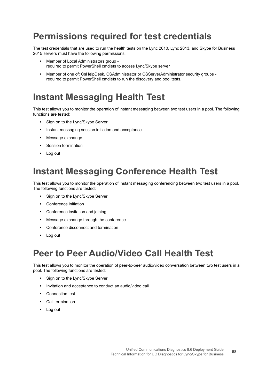### **Permissions required for test credentials**

The test credentials that are used to run the health tests on the Lync 2010, Lync 2013, and Skype for Business 2015 servers must have the following permissions:

- **•** Member of Local Administrators group required to permit PowerShell cmdlets to access Lync/Skype server
- **•** Member of one of: CsHelpDesk, CSAdministrator or CSServerAdministrator security groups required to permit PowerShell cmdlets to run the discovery and pool tests.

### <span id="page-57-0"></span>**Instant Messaging Health Test**

This test allows you to monitor the operation of instant messaging between two test users in a pool. The following functions are tested:

- **•** Sign on to the Lync/Skype Server
- **•** Instant messaging session initiation and acceptance
- **•** Message exchange
- **•** Session termination
- **•** Log out

### <span id="page-57-1"></span>**Instant Messaging Conference Health Test**

This test allows you to monitor the operation of instant messaging conferencing between two test users in a pool. The following functions are tested:

- **•** Sign on to the Lync/Skype Server
- **•** Conference initiation
- **•** Conference invitation and joining
- **•** Message exchange through the conference
- **•** Conference disconnect and termination
- **•** Log out

### <span id="page-57-2"></span>**Peer to Peer Audio/Video Call Health Test**

This test allows you to monitor the operation of peer-to-peer audio/video conversation between two test users in a pool. The following functions are tested:

- **•** Sign on to the Lync/Skype Server
- **•** Invitation and acceptance to conduct an audio/video call
- **•** Connection test
- **•** Call termination
- **•** Log out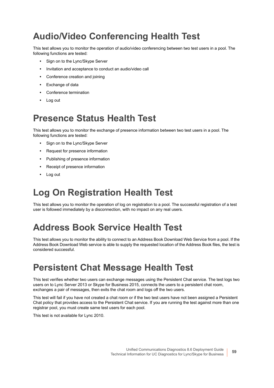## <span id="page-58-0"></span>**Audio/Video Conferencing Health Test**

This test allows you to monitor the operation of audio/video conferencing between two test users in a pool. The following functions are tested:

- **•** Sign on to the Lync/Skype Server
- **•** Invitation and acceptance to conduct an audio/video call
- **•** Conference creation and joining
- **•** Exchange of data
- **•** Conference termination
- **•** Log out

### <span id="page-58-1"></span>**Presence Status Health Test**

This test allows you to monitor the exchange of presence information between two test users in a pool. The following functions are tested:

- **•** Sign on to the Lync/Skype Server
- **•** Request for presence information
- **•** Publishing of presence information
- **•** Receipt of presence information
- **•** Log out

## <span id="page-58-2"></span>**Log On Registration Health Test**

This test allows you to monitor the operation of log on registration to a pool. The successful registration of a test user is followed immediately by a disconnection, with no impact on any real users.

## <span id="page-58-3"></span>**Address Book Service Health Test**

This test allows you to monitor the ability to connect to an Address Book Download Web Service from a pool. If the Address Book Download Web service is able to supply the requested location of the Address Book files, the test is considered successful.

## <span id="page-58-4"></span>**Persistent Chat Message Health Test**

This test verifies whether two users can exchange messages using the Persistent Chat service. The test logs two users on to Lync Server 2013 or Skype for Business 2015, connects the users to a persistent chat room, exchanges a pair of messages, then exits the chat room and logs off the two users.

This test will fail if you have not created a chat room or if the two test users have not been assigned a Persistent Chat policy that provides access to the Persistent Chat service. If you are running the test against more than one registrar pool, you must create same test users for each pool.

This test is not available for Lync 2010.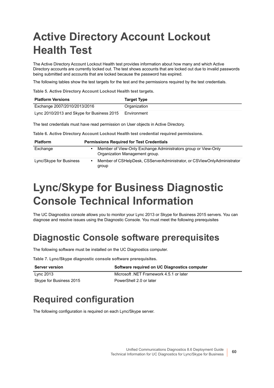# <span id="page-59-1"></span>**Active Directory Account Lockout Health Test**

The Active Directory Account Lockout Health test provides information about how many and which Active Directory accounts are currently locked out. The test shows accounts that are locked out due to invalid passwords being submitted and accounts that are locked because the password has expired.

The following tables show the test targets for the test and the permissions required by the test credentials.

**Table 5. Active Directory Account Lockout Health test targets.**

| <b>Platform Versions</b>                   | <b>Target Type</b> |
|--------------------------------------------|--------------------|
| Exchange 2007/2010/2013/2016               | Organization       |
| Lync 2010/2013 and Skype for Business 2015 | Environment        |

The test credentials must have read permission on User objects in Active Directory.

**Table 6. Active Directory Account Lockout Health test credential required permissions.**

| <b>Platform</b>         | <b>Permissions Required for Test Credentials</b> |                                                                                                  |
|-------------------------|--------------------------------------------------|--------------------------------------------------------------------------------------------------|
| Exchange                |                                                  | Member of View-Only Exchange Administrators group or View-Only<br>Organization Management group. |
| Lync/Skype for Business |                                                  | Member of CSHelpDesk, CSServerAdministrator, or CSViewOnlyAdministrator<br>group                 |

## <span id="page-59-0"></span>**Lync/Skype for Business Diagnostic Console Technical Information**

The UC Diagnostics console allows you to monitor your Lync 2013 or Skype for Business 2015 servers. You can diagnose and resolve issues using the Diagnostic Console. You must meet the following prerequisites

## **Diagnostic Console software prerequisites**

The following software must be installed on the UC Diagnostics computer.

**Table 7. Lync/Skype diagnostic console software prerequisites.**

| <b>Server version</b>   | Software required on UC Diagnostics computer |
|-------------------------|----------------------------------------------|
| Lvnc 2013               | Microsoft .NET Framework 4.5.1 or later      |
| Skype for Business 2015 | PowerShell 2.0 or later                      |

## **Required configuration**

The following configuration is required on each Lync/Skype server.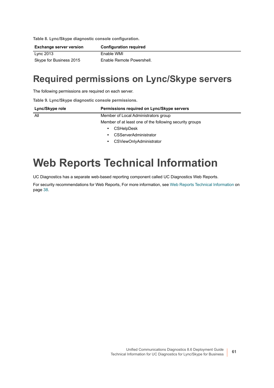**Table 8. Lync/Skype diagnostic console configuration.**

Î.

| Exchange server version | <b>Configuration required</b> |
|-------------------------|-------------------------------|
| Lync 2013               | Enable WMI                    |
| Skype for Business 2015 | Enable Remote Powershell.     |

### **Required permissions on Lync/Skype servers**

The following permissions are required on each server.

**Table 9. Lync/Skype diagnostic console permissions.**

| Lync/Skype role        | Permissions required on Lync/Skype servers              |  |
|------------------------|---------------------------------------------------------|--|
| All                    | Member of Local Administrators group                    |  |
|                        | Member of at least one of the following security groups |  |
| <b>CSHelpDesk</b><br>٠ |                                                         |  |
|                        | <b>CSServerAdministrator</b><br>٠                       |  |
|                        | CSViewOnlyAdministrator<br>٠                            |  |

## <span id="page-60-0"></span>**Web Reports Technical Information**

UC Diagnostics has a separate web-based reporting component called UC Diagnostics Web Reports.

For security recommendations for Web Reports, [For more information, see Web Reports Technical Information on](#page-37-1)  [page 38.](#page-37-1)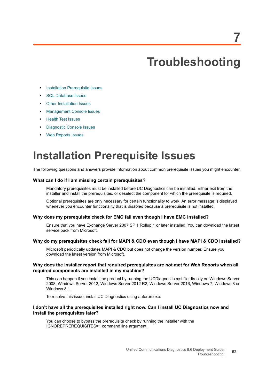# <span id="page-61-0"></span>**Troubleshooting**

- **•** [Installation Prerequisite Issues](#page-61-1)
- **•** [SQL Database Issues](#page-62-0)
- **•** [Other Installation Issues](#page-62-1)
- **•** [Management Console Issues](#page-63-0)
- **•** [Health Test Issues](#page-65-0)
- **•** [Diagnostic Console Issues](#page-69-0)
- **•** [Web Reports Issues](#page-70-0)

## <span id="page-61-1"></span>**Installation Prerequisite Issues**

The following questions and answers provide information about common prerequisite issues you might encounter.

#### **What can I do if I am missing certain prerequisites?**

Mandatory prerequisites must be installed before UC Diagnostics can be installed. Either exit from the installer and install the prerequisites, or deselect the component for which the prerequisite is required.

Optional prerequisites are only necessary for certain functionality to work. An error message is displayed whenever you encounter functionality that is disabled because a prerequisite is not installed.

#### **Why does my prerequisite check for EMC fail even though I have EMC installed?**

Ensure that you have Exchange Server 2007 SP 1 Rollup 1 or later installed. You can download the latest service pack from Microsoft.

#### **Why do my prerequisites check fail for MAPI & CDO even though I have MAPI & CDO installed?**

Microsoft periodically updates MAPI & CDO but does not change the version number. Ensure you download the latest version from Microsoft.

#### **Why does the installer report that required prerequisites are not met for Web Reports when all required components are installed in my machine?**

This can happen if you install the product by running the UCDiagnostic.msi file directly on Windows Server 2008, Windows Server 2012, Windows Server 2012 R2, Windows Server 2016, Windows 7, Windows 8 or Windows 8.1.

To resolve this issue, install UC Diagnostics using autorun.exe.

#### **I don't have all the prerequisites installed right now. Can I install UC Diagnostics now and install the prerequisites later?**

You can choose to bypass the prerequisite check by running the installer with the IGNOREPREREQUISITES=1 command line argument.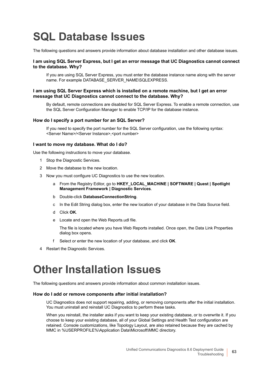# <span id="page-62-0"></span>**SQL Database Issues**

The following questions and answers provide information about database installation and other database issues.

#### **I am using SQL Server Express, but I get an error message that UC Diagnostics cannot connect to the database. Why?**

If you are using SQL Server Express, you must enter the database instance name along with the server name. For example DATABASE\_SERVER\_NAME\SQLEXPRESS.

#### **I am using SQL Server Express which is installed on a remote machine, but I get an error message that UC Diagnostics cannot connect to the database. Why?**

By default, remote connections are disabled for SQL Server Express. To enable a remote connection, use the SQL Server Configuration Manager to enable TCP/IP for the database instance.

#### **How do I specify a port number for an SQL Server?**

If you need to specify the port number for the SQL Server configuration, use the following syntax: <Server Name>/<Server Instance>,<port number>

#### **I want to move my database. What do I do?**

Use the following instructions to move your database.

- 1 Stop the Diagnostic Services.
- 2 Move the database to the new location.
- 3 Now you must configure UC Diagnostics to use the new location.
	- a From the Registry Editor, go to **HKEY\_LOCAL\_MACHINE | SOFTWARE | Quest | Spotlight Management Framework | Diagnostic Services**.
	- b Double-click **DatabaseConnectionString**.
	- c In the Edit String dialog box, enter the new location of your database in the Data Source field.
	- d Click **OK**.
	- e Locate and open the Web Reports.udl file.

The file is located where you have Web Reports installed. Once open, the Data Link Properties dialog box opens.

- f Select or enter the new location of your database, and click **OK**.
- 4 Restart the Diagnostic Services.

## <span id="page-62-1"></span>**Other Installation Issues**

The following questions and answers provide information about common installation issues.

#### **How do I add or remove components after initial installation?**

UC Diagnostics does not support repairing, adding, or removing components after the initial installation. You must uninstall and reinstall UC Diagnostics to perform these tasks.

When you reinstall, the installer asks if you want to keep your existing database, or to overwrite it. If you choose to keep your existing database, all of your Global Settings and Health Test configuration are retained. Console customizations, like Topology Layout, are also retained because they are cached by MMC in %USERPROFILE%\Application Data\Microsoft\MMC directory.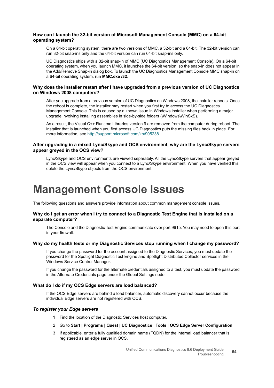#### **How can I launch the 32-bit version of Microsoft Management Console (MMC) on a 64-bit operating system?**

On a 64-bit operating system, there are two versions of MMC, a 32-bit and a 64-bit. The 32-bit version can run 32-bit snap-ins only and the 64-bit version can run 64-bit snap-ins only.

UC Diagnostics ships with a 32-bit snap-in of MMC (UC Diagnostics Management Console). On a 64-bit operating system, when you launch MMC, it launches the 64-bit version, so the snap-in does not appear in the Add/Remove Snap-in dialog box. To launch the UC Diagnostics Management Console MMC snap-in on a 64-bit operating system, run **MMC.exe /32**.

#### **Why does the installer restart after I have upgraded from a previous version of UC Diagnostics on Windows 2008 computers?**

After you upgrade from a previous version of UC Diagnostics on Windows 2008, the installer reboots. Once the reboot is complete, the installer may restart when you first try to access the UC Diagnostics Management Console. This is caused by a known issue in Windows installer when performing a major upgrade involving installing assemblies in side-by-side folders (\Windows\WinSxS).

As a result, the Visual C++ Runtime Libraries version 9 are removed from the computer during reboot. The installer that is launched when you first access UC Diagnostics puts the missing files back in place. For more information, see [http://support.microsoft.com/kb/905238.](http://support.microsoft.com/kb/905238)

#### **After upgrading in a mixed Lync/Skype and OCS environment, why are the Lync/Skype servers appear greyed in the OCS view?**

Lync/Skype and OCS environments are viewed separately. All the Lync/Skype servers that appear greyed in the OCS view will appear when you connect to a Lync/Skype environment. When you have verified this, delete the Lync/Skype objects from the OCS environment.

## <span id="page-63-0"></span>**Management Console Issues**

The following questions and answers provide information about common management console issues.

#### **Why do I get an error when I try to connect to a Diagnostic Test Engine that is installed on a separate computer?**

The Console and the Diagnostic Test Engine communicate over port 9615. You may need to open this port in your firewall.

#### **Why do my health tests or my Diagnostic Services stop running when I change my password?**

If you change the password for the account assigned to the Diagnostic Services, you must update the password for the Spotlight Diagnostic Test Engine and Spotlight Distributed Collector services in the Windows Service Control Manager.

If you change the password for the alternate credentials assigned to a test, you must update the password in the Alternate Credentials page under the Global Settings node.

#### **What do I do if my OCS Edge servers are load balanced?**

If the OCS Edge servers are behind a load balancer, automatic discovery cannot occur because the individual Edge servers are not registered with OCS.

#### *To register your Edge servers*

- 1 Find the location of the Diagnostic Services host computer.
- 2 Go to **Start | Programs | Quest | UC Diagnostics | Tools | OCS Edge Server Configuration**.
- 3 If applicable, enter a fully qualified domain name (FQDN) for the internal load balancer that is registered as an edge server in OCS.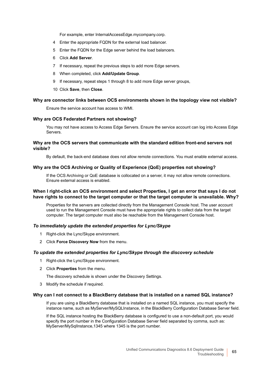For example, enter InternalAccessEdge.mycompany.corp.

- 4 Enter the appropriate FQDN for the external load balancer.
- 5 Enter the FQDN for the Edge server behind the load balancers.
- 6 Click **Add Server**.
- 7 If necessary, repeat the previous steps to add more Edge servers.
- 8 When completed, click **Add/Update Group**.
- 9 If necessary, repeat steps 1 through 8 to add more Edge server groups,
- 10 Click **Save**, then **Close**.

#### **Why are connector links between OCS environments shown in the topology view not visible?**

Ensure the service account has access to WMI.

#### **Why are OCS Federated Partners not showing?**

You may not have access to Access Edge Servers. Ensure the service account can log into Access Edge Servers.

#### **Why are the OCS servers that communicate with the standard edition front-end servers not visible?**

By default, the back-end database does not allow remote connections. You must enable external access.

#### **Why are the OCS Archiving or Quality of Experience (QoE) properties not showing?**

If the OCS Archiving or QoE database is collocated on a server, it may not allow remote connections. Ensure external access is enabled.

#### **When I right-click an OCS environment and select Properties, I get an error that says I do not have rights to connect to the target computer or that the target computer is unavailable. Why?**

Properties for the servers are collected directly from the Management Console host. The user account used to run the Management Console must have the appropriate rights to collect data from the target computer. The target computer must also be reachable from the Management Console host.

#### *To immediately update the extended properties for Lync/Skype*

- 1 Right-click the Lync/Skype environment.
- 2 Click **Force Discovery Now** from the menu.

#### *To update the extended properties for Lync/Skype through the discovery schedule*

- 1 Right-click the Lync/Skype environment.
- 2 Click **Properties** from the menu.

The discovery schedule is shown under the Discovery Settings.

3 Modify the schedule if required.

#### **Why can I not connect to a BlackBerry database that is installed on a named SQL instance?**

If you are using a BlackBerry database that is installed on a named SQL instance, you must specify the instance name, such as MyServer/MySQLInstance, in the BlackBerry Configuration Database Server field.

If the SQL instance hosting the BlackBerry database is configured to use a non-default port, you would specify the port number in the Configuration Database Server field separated by comma, such as: MyServer/MySqlInstance,1345 where 1345 is the port number.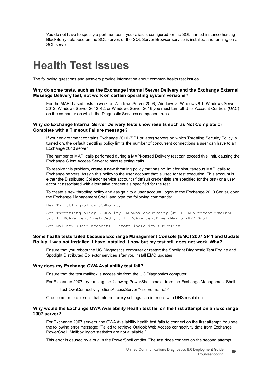You do not have to specify a port number if your alias is configured for the SQL named instance hosting BlackBerry database on the SQL server, or the SQL Server Browser service is installed and running on a SQL server.

## <span id="page-65-0"></span>**Health Test Issues**

The following questions and answers provide information about common health test issues.

#### **Why do some tests, such as the Exchange Internal Server Delivery and the Exchange External Message Delivery test, not work on certain operating system versions?**

For the MAPI-based tests to work on Windows Server 2008, Windows 8, Windows 8.1, Windows Server 2012, Windows Server 2012 R2, or Windows Server 2016 you must turn off User Account Controls (UAC) on the computer on which the Diagnostic Services component runs.

#### **Why do Exchange Internal Server Delivery tests show results such as Not Complete or Complete with a Timeout Failure message?**

If your environment contains Exchange 2010 (SP1 or later) servers on which Throttling Security Policy is turned on, the default throttling policy limits the number of concurrent connections a user can have to an Exchange 2010 server.

The number of MAPI calls performed during a MAPI-based Delivery test can exceed this limit, causing the Exchange Client Access Server to start rejecting calls.

To resolve this problem, create a new throttling policy that has no limit for simultaneous MAPI calls to Exchange servers. Assign this policy to the user account that is used for test execution. This account is either the Distributed Collector service account (if default credentials are specified for the test) or a user account associated with alternative credentials specified for the test.

To create a new throttling policy and assign it to a user account, logon to the Exchange 2010 Server, open the Exchange Management Shell, and type the following commands:

New-ThrottlingPolicy SOMPolicy Set-ThrottlingPolicy SOMPolicy -RCAMaxConcurrency \$null -RCAPercentTimeInAD \$null -RCAPercentTimeInCAS \$null -RCAPercentTimeInMailboxRPC \$null

Set-Mailbox <user account> -ThrottlingPolicy SOMPolicy

#### **Some health tests failed because Exchange Management Console (EMC) 2007 SP 1 and Update Rollup 1 was not installed. I have installed it now but my test still does not work. Why?**

Ensure that you reboot the UC Diagnostics computer or restart the Spotlight Diagnostic Test Engine and Spotlight Distributed Collector services after you install EMC updates.

#### **Why does my Exchange OWA Availability test fail?**

Ensure that the test mailbox is accessible from the UC Diagnostics computer.

For Exchange 2007, try running the following PowerShell cmdlet from the Exchange Management Shell:

Test-OwaConnectivity -clientAccessServer "<server name>"

One common problem is that Internet proxy settings can interfere with DNS resolution.

#### **Why would the Exchange OWA Availability Health test fail on the first attempt on an Exchange 2007 server?**

For Exchange 2007 servers, the OWA Availability health test fails to connect on the first attempt. You see the following error message: "Failed to retrieve Outlook Web Access connectivity data from Exchange PowerShell. Mailbox logon statistics are not available."

This error is caused by a bug in the PowerShell cmdlet. The test does connect on the second attempt.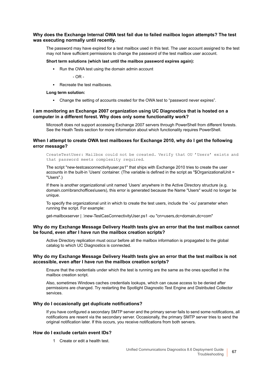#### **Why does the Exchange Internal OWA test fail due to failed mailbox logon attempts? The test was executing normally until recently.**

The password may have expired for a test mailbox used in this test. The user account assigned to the test may not have sufficient permissions to change the password of the test mailbox user account.

#### **Short term solutions (which last until the mailbox password expires again):**

**▪** Run the OWA test using the domain admin account

 $-$  OR  $-$ 

**■ Recreate the test mailboxes** 

#### **Long term solution:**

**▪** Change the setting of accounts created for the OWA test to "password never expires".

#### **I am monitoring an Exchange 2007 organization using UC Diagnostics that is hosted on a computer in a different forest. Why does only some functionality work?**

Microsoft does not support accessing Exchange 2007 servers through PowerShell from different forests. See the Heath Tests section for more information about which functionality requires PowerShell.

#### **When I attempt to create OWA test mailboxes for Exchange 2010, why do I get the following error message?**

CreateTestUser: Mailbox could not be created. Verify that OU 'Users' exists and that password meets complexity required.

The script "new-testcasconnectivityuser.ps1" that ships with Exchange 2010 tries to create the user accounts in the built-in 'Users' container. (The variable is defined in the script as "\$OrganizationalUnit = "Users".)

If there is another organizational unit named 'Users' anywhere in the Active Directory structure (e.g. domain.com\branchoffices\users), this error is generated because the Name "Users" would no longer be unique.

To specify the organizational unit in which to create the test users, include the '-ou' parameter when running the script. For example:

get-mailboxserver | .\new-TestCasConnectivityUser.ps1 -ou "cn=users,dc=domain,dc=com"

#### **Why do my Exchange Message Delivery Health tests give an error that the test mailbox cannot be found, even after I have run the mailbox creation scripts?**

Active Directory replication must occur before all the mailbox information is propagated to the global catalog to which UC Diagnostics is connected.

#### **Why do my Exchange Message Delivery Health tests give an error that the test mailbox is not accessible, even after I have run the mailbox creation scripts?**

Ensure that the credentials under which the test is running are the same as the ones specified in the mailbox creation script.

Also, sometimes Windows caches credentials lookups, which can cause access to be denied after permissions are changed. Try restarting the Spotlight Diagnostic Test Engine and Distributed Collector services.

#### **Why do I occasionally get duplicate notifications?**

If you have configured a secondary SMTP server and the primary server fails to send some notifications, all notifications are resent via the secondary server. Occasionally, the primary SMTP server tries to send the original notification later. If this occurs, you receive notifications from both servers.

#### **How do I exclude certain event IDs?**

1 Create or edit a health test.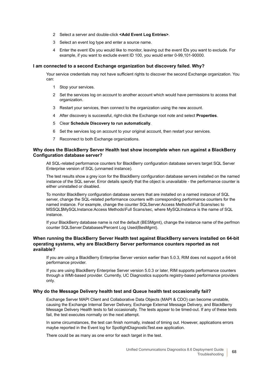- 2 Select a server and double-click **<Add Event Log Entries>**.
- 3 Select an event log type and enter a source name.
- 4 Enter the event IDs you would like to monitor, leaving out the event IDs you want to exclude. For example, if you want to exclude event ID 100, you would enter 0-99,101-90000.

#### **I am connected to a second Exchange organization but discovery failed. Why?**

Your service credentials may not have sufficient rights to discover the second Exchange organization. You can:

- 1 Stop your services.
- 2 Set the services log on account to another account which would have permissions to access that organization.
- 3 Restart your services, then connect to the organization using the new account.
- 4 After discovery is successful, right-click the Exchange root note and select **Properties**.
- 5 Clear **Schedule Discovery to run automatically**.
- 6 Set the services log on account to your original account, then restart your services.
- 7 Reconnect to both Exchange organizations.

#### **Why does the BlackBerry Server Health test show incomplete when run against a BlackBerry Configuration database server?**

All SQL-related performance counters for BlackBerry configuration database servers target SQL Server Enterprise version of SQL (unnamed instance).

The test results show a grey icon for the BlackBerry configuration database servers installed on the named instance of the SQL server. Error details specify that the object is unavailable - the performance counter is either uninstalled or disabled.

To monitor BlackBerry configuration database servers that are installed on a named instance of SQL server, change the SQL-related performance counters with corresponding performance counters for the named instance. For example, change the counter SQLServer:Access Methods\Full Scans/sec to MSSQL\$MySQLInstance:Access Methods\Full Scans/sec, where MySQLInstance is the name of SQL instance.

If your BlackBerry database name is not the default (BESMgmt), change the instance name of the perfmon counter SQLServer:Databases/Percent Log Used(BesMgmt).

#### **When running the BlackBerry Server Health test against BlackBerry servers installed on 64-bit operating systems, why are BlackBerry Server performance counters reported as not available?**

If you are using a BlackBerry Enterprise Server version earlier than 5.0.3, RIM does not support a 64-bit performance provider.

If you are using BlackBerry Enterprise Server version 5.0.3 or later, RIM supports performance counters through a WMI-based provider. Currently, UC Diagnostics supports registry-based performance providers only.

#### **Why do the Message Delivery health test and Queue health test occasionally fail?**

Exchange Server MAPI Client and Collaborative Data Objects (MAPI & CDO) can become unstable, causing the Exchange Internal Server Delivery, Exchange External Message Delivery, and BlackBerry Message Delivery Health tests to fail occasionally. The tests appear to be timed-out. If any of these tests fail, the test executes normally on the next attempt.

In some circumstances, the test can finish normally, instead of timing out. However, applications errors maybe reported in the Event log for SpotlightDiagnosticTest.exe application.

There could be as many as one error for each target in the test.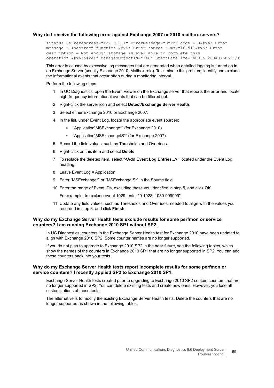#### **Why do I receive the following error against Exchange 2007 or 2010 mailbox servers?**

<Status ServerAddress="127.0.0.1" ErrorMessage="Error code = 0&#xA; Error message = Incorrect function. 
Error source = msxml6.dll
Error description = Not enough storage is available to complete this operation.  $\frac{1}{4}$  xA;  $\frac{1}{4}$  xA;" ManagedObjectId="148" StartDateTime="40365.2604976852"/>

This error is caused by excessive log messages that are generated when detailed logging is turned on in an Exchange Server (usually Exchange 2010, Mailbox role). To eliminate this problem, identify and exclude the informational events that occur often during a monitoring interval.

#### Perform the following steps:

- 1 In UC Diagnostics, open the Event Viewer on the Exchange server that reports the error and locate high-frequency informational events that can be filtered out.
- 2 Right-click the server icon and select **Detect/Exchange Server Health**.
- 3 Select either Exchange 2010 or Exchange 2007.
- 4 In the list, under Event Log, locate the appropriate event sources:
	- **▫** "Application\MSExchange\*" (for Exchange 2010)
	- **▫** "Application\MSExchangeIS\*" (for Exchange 2007).
- 5 Record the field values, such as Thresholds and Overrides.
- 6 Right-click on this item and select **Delete**.
- 7 To replace the deleted item, select "**<Add Event Log Entries...>"** located under the Event Log heading.
- 8 Leave Event Log = Application.
- 9 Enter "MSExchange\*" or "MSExchangeIS\*" in the Source field.
- 10 Enter the range of Event IDs, excluding those you identified in step 5, and click **OK**.

For example, to exclude event 1029, enter "0-1028, 1030-999999".

11 Update any field values, such as Thresholds and Overrides, needed to align with the values you recorded in step 3. and click **Finish**.

#### **Why do my Exchange Server Health tests exclude results for some perfmon or service counters? I am running Exchange 2010 SP1 without SP2.**

In UC Diagnostics, counters in the Exchange Server Health test for Exchange 2010 have been updated to align with Exchange 2010 SP2. Some counter names are no longer supported.

If you do not plan to upgrade to Exchange 2010 SP2 in the near future, see the following tables, which show the names of the counters in Exchange 2010 SP1 that are no longer supported in SP2. You can add these counters back into your tests.

#### **Why do my Exchange Server Health tests report incomplete results for some perfmon or service counters? I recently applied SP2 to Exchange 2010 SP1.**

Exchange Server Health tests created prior to upgrading to Exchange 2010 SP2 contain counters that are no longer supported in SP2. You can delete existing tests and create new ones. However, you lose all customizations of these tests.

The alternative is to modify the existing Exchange Server Health tests. Delete the counters that are no longer supported as shown in the following tables.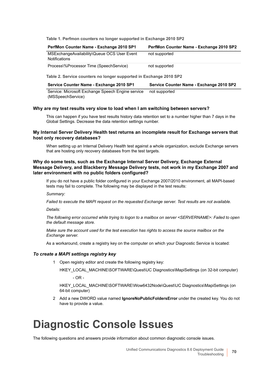**Table 1. Perfmon counters no longer supported in Exchange 2010 SP2**

| PerfMon Counter Name - Exchange 2010 SP1                     | PerfMon Counter Name - Exchange 2010 SP2 |
|--------------------------------------------------------------|------------------------------------------|
| MSExchangeAvailability\Queue OCS User Event<br>Notifications | not supported                            |
| Process\%Processor Time (SpeechService)                      | not supported                            |

**Table 2. Service counters no longer supported in Exchange 2010 SP2**

| Service Counter Name - Exchange 2010 SP1 | Service Counter Name - Exchange 2010 SP2 |
|------------------------------------------|------------------------------------------|
|                                          |                                          |

Service: Microsoft Exchange Speech Engine service not supported(MSSpeechService)

#### **Why are my test results very slow to load when I am switching between servers?**

This can happen if you have test results history data retention set to a number higher than 7 days in the Global Settings. Decrease the data retention settings number.

#### **My Internal Server Delivery Health test returns an incomplete result for Exchange servers that host only recovery databases?**

When setting up an Internal Delivery Health test against a whole organization, exclude Exchange servers that are hosting only recovery databases from the test targets.

#### **Why do some tests, such as the Exchange Internal Server Delivery, Exchange External Message Delivery, and Blackberry Message Delivery tests, not work in my Exchange 2007 and later environment with no public folders configured?**

If you do not have a public folder configured in your Exchange 2007/2010 environment, all MAPI-based tests may fail to complete. The following may be displayed in the test results:

*Summary:*

*Failed to execute the MAPI request on the requested Exchange server. Test results are not available.*

*Details:*

*The following error occurred while trying to logon to a mailbox on server <SERVERNAME>: Failed to open the default message store.*

*Make sure the account used for the test execution has rights to access the source mailbox on the Exchange server.*

As a workaround, create a registry key on the computer on which your Diagnostic Service is located:

#### *To create a MAPI settings registry key*

1 Open registry editor and create the following registry key:

HKEY\_LOCAL\_MACHINE\SOFTWARE\Quest\UC Diagnostics\MapiSettings (on 32-bit computer)  $-$  OR  $-$ 

HKEY\_LOCAL\_MACHINE\SOFTWARE\Wow6432Node\Quest\UC Diagnostics\MapiSettings (on 64-bit computer)

2 Add a new DWORD value named **IgnoreNoPublicFoldersError** under the created key. You do not have to provide a value.

## <span id="page-69-0"></span>**Diagnostic Console Issues**

The following questions and answers provide information about common diagnostic console issues.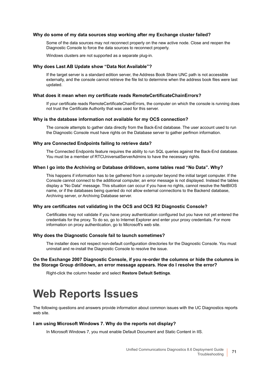#### **Why do some of my data sources stop working after my Exchange cluster failed?**

Some of the data sources may not reconnect properly on the new active node. Close and reopen the Diagnostic Console to force the data sources to reconnect properly.

Windows clusters are not supported as a separate plug-in.

#### **Why does Last AB Update show "Data Not Available"?**

If the target server is a standard edition server, the Address Book Share UNC path is not accessible externally, and the console cannot retrieve the file list to determine when the address book files were last updated.

#### **What does it mean when my certificate reads RemoteCertificateChainErrors?**

If your certificate reads RemoteCertificateChainErrors, the computer on which the console is running does not trust the Certificate Authority that was used for this server.

#### **Why is the database information not available for my OCS connection?**

The console attempts to gather data directly from the Back-End database. The user account used to run the Diagnostic Console must have rights on the Database server to gather perfmon information.

#### **Why are Connected Endpoints failing to retrieve data?**

The Connected Endpoints feature requires the ability to run SQL queries against the Back-End database. You must be a member of RTCUniversalServerAdmins to have the necessary rights.

#### **When I go into the Archiving or Database drilldown, some tables read "No Data". Why?**

This happens if information has to be gathered from a computer beyond the initial target computer. If the Console cannot connect to the additional computer, an error message is not displayed. Instead the tables display a "No Data" message. This situation can occur if you have no rights, cannot resolve the NetBIOS name, or if the databases being queried do not allow external connections to the Backend database, Archiving server, or Archiving Database server.

#### **Why are certificates not validating in the OCS and OCS R2 Diagnostic Console?**

Certificates may not validate if you have proxy authentication configured but you have not yet entered the credentials for the proxy. To do so, go to Internet Explorer and enter your proxy credentials. For more information on proxy authentication, go to Microsoft's web site.

#### **Why does the Diagnostic Console fail to launch sometimes?**

The installer does not respect non-default configuration directories for the Diagnostic Console. You must uninstall and re-install the Diagnostic Console to resolve the issue.

#### **On the Exchange 2007 Diagnostic Console, if you re-order the columns or hide the columns in the Storage Group drilldown, an error message appears. How do I resolve the error?**

Right-click the column header and select **Restore Default Settings**.

## <span id="page-70-0"></span>**Web Reports Issues**

The following questions and answers provide information about common issues with the UC Diagnostics reports web site.

#### **I am using Microsoft Windows 7. Why do the reports not display?**

In Microsoft Windows 7, you must enable Default Document and Static Content in IIS.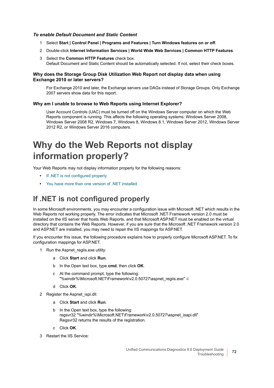#### *To enable Default Document and Static Content*

- 1 Select **Start | Control Panel | Programs and Features | Turn Windows features on or off**.
- 2 Double-click **Internet Information Services | World Wide Web Services | Common HTTP Features**.
- 3 Select the **Common HTTP Features** check box. Default Document and Static Content should be automatically selected. If not, select their check boxes.

#### **Why does the Storage Group Disk Utilization Web Report not display data when using Exchange 2010 or later servers?**

For Exchange 2010 and later, the Exchange servers use DAGs instead of Storage Groups. Only Exchange 2007 servers show data for this report.

#### **Why am I unable to browse to Web Reports using Internet Explorer?**

User Account Controls (UAC) must be turned off on the Windows Server computer on which the Web Reports component is running. This affects the following operating systems: Windows Server 2008, Windows Server 2008 R2, Windows 7, Windows 8, Windows 8.1, Windows Server 2012, Windows Server 2012 R2, or Windows Server 2016 computers.

### **Why do the Web Reports not display information properly?**

Your Web Reports may not display information properly for the following reasons:

- **•** [If .NET is not configured properly](#page-71-0)
- **•** [You have more than one version of .NET installed](#page-72-0)

### <span id="page-71-0"></span>**If .NET is not configured properly**

In some Microsoft environments, you may encounter a configuration issue with Microsoft .NET which results in the Web Reports not working properly. The error indicates that Microsoft .NET Framework version 2.0 must be installed on the IIS server that hosts Web Reports, and that Microsoft ASP.NET must be enabled on the virtual directory that contains the Web Reports. However, if you are sure that the Microsoft .NET Framework version 2.0 and ASP.NET are installed, you may need to repair the IIS mappings for ASP.NET.

If you encounter this issue, the following procedure explains how to properly configure Microsoft ASP.NET. To fix configuration mappings for ASP.NET.

- 1 Run the Aspnet regiis.exe utility:
	- a Click **Start** and click **Run**.
	- b In the Open text box, type **cmd**, then click **OK**.
	- c At the command prompt, type the following: "%windir%\Microsoft.NET\Framework\v2.0.50727\aspnet\_regiis.exe" -i
	- d Click **OK**.
- 2 Register the Aspnet ispi.dll:
	- a Click **Start** and click **Run**.
	- b In the Open text box, type the following: regsvr32 "%windir%\Microsoft.NET\Framework\v2.0.50727\aspnet\_isapi.dll" Regsvr32 returns the results of the registration.
	- c Click **OK**.
- 3 Restart the IIS Service: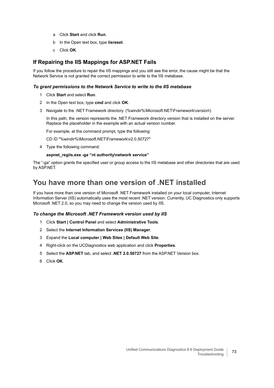- a Click **Start** and click **Run**.
- b In the Open text box, type **iisreset**.
- c Click **OK**.

### **If Repairing the IIS Mappings for ASP.NET Fails**

If you follow the procedure to repair the IIS mappings and you still see the error, the cause might be that the Network Service is not granted the correct permission to write to the IIS metabase.

### *To grant permissions to the Network Service to write to the IIS metabase*

- 1 Click **Start** and select **Run**.
- 2 In the Open text box, type **cmd** and click **OK**.
- 3 Navigate to the .NET Framework directory. (%windir%\Microsoft.NET\Framework\*version*\)

In this path, the version represents the .NET Framework directory version that is installed on the server. Replace the placeholder in the example with an actual version number.

For example, at the command prompt, type the following:

CD /D "%windir%\Microsoft.NET\Framework\v2.0.50727"

4 Type the following command:

#### **aspnet\_regiis.exe -ga "nt authority\network service"**

The "-ga" option grants the specified user or group access to the IIS metabase and other directories that are used by ASP.NET.

## **You have more than one version of .NET installed**

If you have more than one version of Microsoft .NET Framework installed on your local computer, Internet Information Server (IIS) automatically uses the most recent .NET version. Currently, UC Diagnostics only supports Microsoft .NET 2.0, so you may need to change the version used by IIS.

### *To change the Microsoft .NET Framework version used by IIS*

- 1 Click **Start | Control Panel** and select **Administrative Tools**.
- 2 Select the **Internet Information Services (IIS) Manager**.
- 3 Expand the **Local computer | Web Sites | Default Web Site**.
- 4 Right-click on the UCDiagnostics web application and click **Properties**.
- 5 Select the **ASP.NET** tab, and select **.NET 2.0.50727** from the ASP.NET Version box.
- 6 Click **OK**.